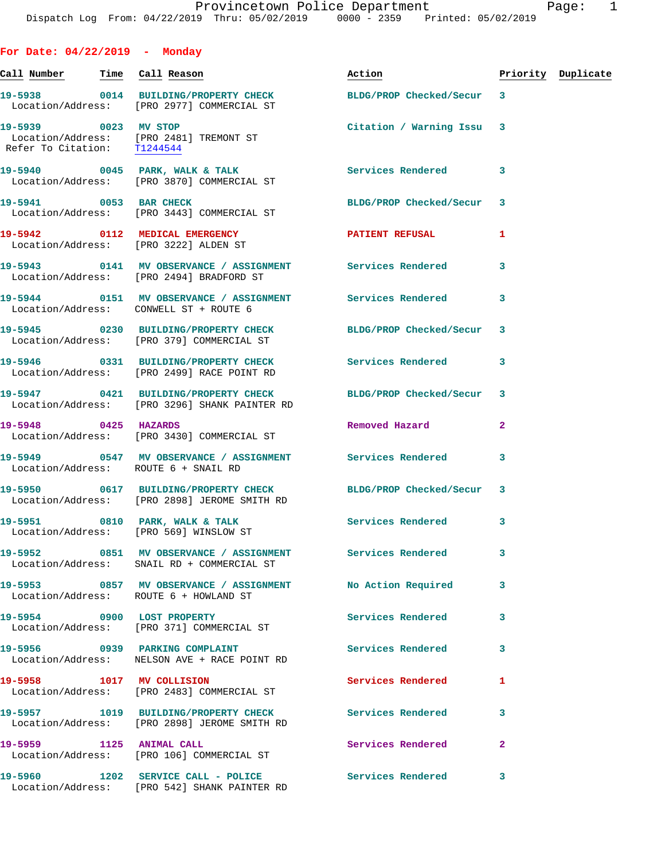**For Date: 04/22/2019 - Monday Call Number Time Call Reason Action Priority Duplicate 19-5938 0014 BUILDING/PROPERTY CHECK BLDG/PROP Checked/Secur 3**  Location/Address: [PRO 2977] COMMERCIAL ST **19-5939 0023 MV STOP Citation / Warning Issu 3**  Location/Address: [PRO 2481] TREMONT ST Refer To Citation: T1244544 19-5940 0045 PARK, WALK & TALK **Services Rendered** 3 Location/Address: [PRO 3870] COMMERCIAL ST **19-5941 0053 BAR CHECK BLDG/PROP Checked/Secur 3**  Location/Address: [PRO 3443] COMMERCIAL ST **19-5942 0112 MEDICAL EMERGENCY PATIENT REFUSAL 1**  Location/Address: [PRO 3222] ALDEN ST **19-5943 0141 MV OBSERVANCE / ASSIGNMENT Services Rendered 3**  Location/Address: [PRO 2494] BRADFORD ST **19-5944 0151 MV OBSERVANCE / ASSIGNMENT Services Rendered 3**  Location/Address: CONWELL ST + ROUTE 6 **19-5945 0230 BUILDING/PROPERTY CHECK BLDG/PROP Checked/Secur 3**  Location/Address: [PRO 379] COMMERCIAL ST **19-5946 0331 BUILDING/PROPERTY CHECK Services Rendered 3**  Location/Address: [PRO 2499] RACE POINT RD **19-5947 0421 BUILDING/PROPERTY CHECK BLDG/PROP Checked/Secur 3**  Location/Address: [PRO 3296] SHANK PAINTER RD **19-5948 0425 HAZARDS Removed Hazard 2**  Location/Address: [PRO 3430] COMMERCIAL ST **19-5949 0547 MV OBSERVANCE / ASSIGNMENT Services Rendered 3**  Location/Address: ROUTE 6 + SNAIL RD **19-5950 0617 BUILDING/PROPERTY CHECK BLDG/PROP Checked/Secur 3**  Location/Address: [PRO 2898] JEROME SMITH RD 19-5951 0810 PARK, WALK & TALK **Services Rendered** 3 Location/Address: [PRO 569] WINSLOW ST **19-5952 0851 MV OBSERVANCE / ASSIGNMENT Services Rendered 3**  Location/Address: SNAIL RD + COMMERCIAL ST **19-5953 0857 MV OBSERVANCE / ASSIGNMENT No Action Required 3**  Location/Address: ROUTE 6 + HOWLAND ST **19-5954 0900 LOST PROPERTY Services Rendered 3**  Location/Address: [PRO 371] COMMERCIAL ST

**19-5956 0939 PARKING COMPLAINT Services Rendered 3**  Location/Address: NELSON AVE + RACE POINT RD **19-5958 1017 MV COLLISION Services Rendered 1**  Location/Address: [PRO 2483] COMMERCIAL ST **19-5957 1019 BUILDING/PROPERTY CHECK Services Rendered 3**  Location/Address: [PRO 2898] JEROME SMITH RD **19-5959 1125 ANIMAL CALL Services Rendered 2**  Location/Address: [PRO 106] COMMERCIAL ST **19-5960 1202 SERVICE CALL - POLICE Services Rendered 3** 

Location/Address: [PRO 542] SHANK PAINTER RD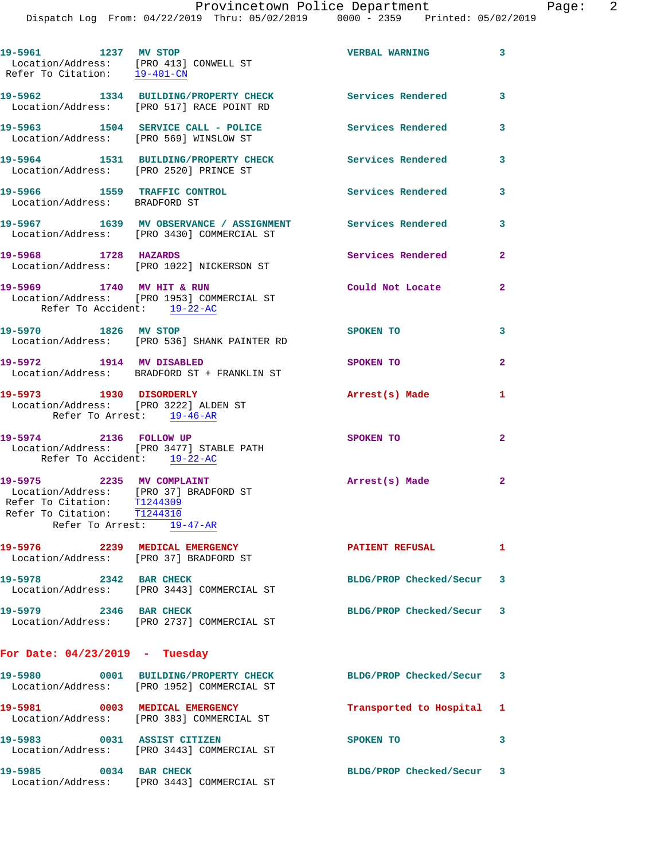| 19-5961 1237 MV STOP                                                                                                              | Location/Address: [PRO 413] CONWELL ST<br>Refer To Citation: 19-401-CN                                  | <b>VERBAL WARNING</b>     | $\mathbf{3}$   |
|-----------------------------------------------------------------------------------------------------------------------------------|---------------------------------------------------------------------------------------------------------|---------------------------|----------------|
|                                                                                                                                   | 19-5962 1334 BUILDING/PROPERTY CHECK<br>Location/Address: [PRO 517] RACE POINT RD                       | Services Rendered         | 3              |
|                                                                                                                                   | 19-5963 1504 SERVICE CALL - POLICE<br>Location/Address: [PRO 569] WINSLOW ST                            | <b>Services Rendered</b>  | 3              |
| Location/Address: [PRO 2520] PRINCE ST                                                                                            | 19-5964 1531 BUILDING/PROPERTY CHECK                                                                    | <b>Services Rendered</b>  | 3              |
| 19-5966 1559 TRAFFIC CONTROL<br>Location/Address: BRADFORD ST                                                                     |                                                                                                         | <b>Services Rendered</b>  | 3              |
|                                                                                                                                   | 19-5967 1639 MV OBSERVANCE / ASSIGNMENT Services Rendered<br>Location/Address: [PRO 3430] COMMERCIAL ST |                           | 3              |
| 19-5968 1728 HAZARDS                                                                                                              | Location/Address: [PRO 1022] NICKERSON ST                                                               | Services Rendered         | $\overline{2}$ |
| 19-5969 1740 MV HIT & RUN<br>Refer To Accident: 19-22-AC                                                                          | Location/Address: [PRO 1953] COMMERCIAL ST                                                              | Could Not Locate          | $\overline{2}$ |
| 19-5970 1826 MV STOP                                                                                                              | Location/Address: [PRO 536] SHANK PAINTER RD                                                            | SPOKEN TO                 | 3              |
| 19-5972 1914 MV DISABLED                                                                                                          | Location/Address: BRADFORD ST + FRANKLIN ST                                                             | SPOKEN TO                 | $\overline{a}$ |
| 19-5973 1930 DISORDERLY<br>Location/Address: [PRO 3222] ALDEN ST                                                                  | Refer To Arrest: 19-46-AR                                                                               | Arrest(s) Made            | 1              |
| 19-5974 2136 FOLLOW UP<br>Refer To Accident: 19-22-AC                                                                             | Location/Address: [PRO 3477] STABLE PATH                                                                | SPOKEN TO                 | $\overline{a}$ |
| 19-5975 2235 MV COMPLAINT<br>Location/Address: [PRO 37] BRADFORD ST<br>Refer To Citation: T1244309<br>Refer To Citation: T1244310 | Refer To Arrest: 19-47-AR                                                                               | Arrest(s) Made            | $\mathbf{2}$   |
|                                                                                                                                   | 19-5976 2239 MEDICAL EMERGENCY<br>Location/Address: [PRO 37] BRADFORD ST                                | <b>PATIENT REFUSAL</b>    | 1              |
| 19-5978 2342 BAR CHECK                                                                                                            | Location/Address: [PRO 3443] COMMERCIAL ST                                                              | BLDG/PROP Checked/Secur 3 |                |
| 19-5979 2346 BAR CHECK                                                                                                            | Location/Address: [PRO 2737] COMMERCIAL ST                                                              | BLDG/PROP Checked/Secur 3 |                |
| For Date: $04/23/2019$ - Tuesday                                                                                                  |                                                                                                         |                           |                |
|                                                                                                                                   | 19-5980 0001 BUILDING/PROPERTY CHECK<br>Location/Address: [PRO 1952] COMMERCIAL ST                      | BLDG/PROP Checked/Secur 3 |                |
|                                                                                                                                   | 19-5981 0003 MEDICAL EMERGENCY<br>Location/Address: [PRO 383] COMMERCIAL ST                             | Transported to Hospital 1 |                |
| 19-5983 0031 ASSIST CITIZEN                                                                                                       | Location/Address: [PRO 3443] COMMERCIAL ST                                                              | SPOKEN TO                 | 3              |
| 19-5985 0034 BAR CHECK                                                                                                            | Location/Address: [PRO 3443] COMMERCIAL ST                                                              | BLDG/PROP Checked/Secur 3 |                |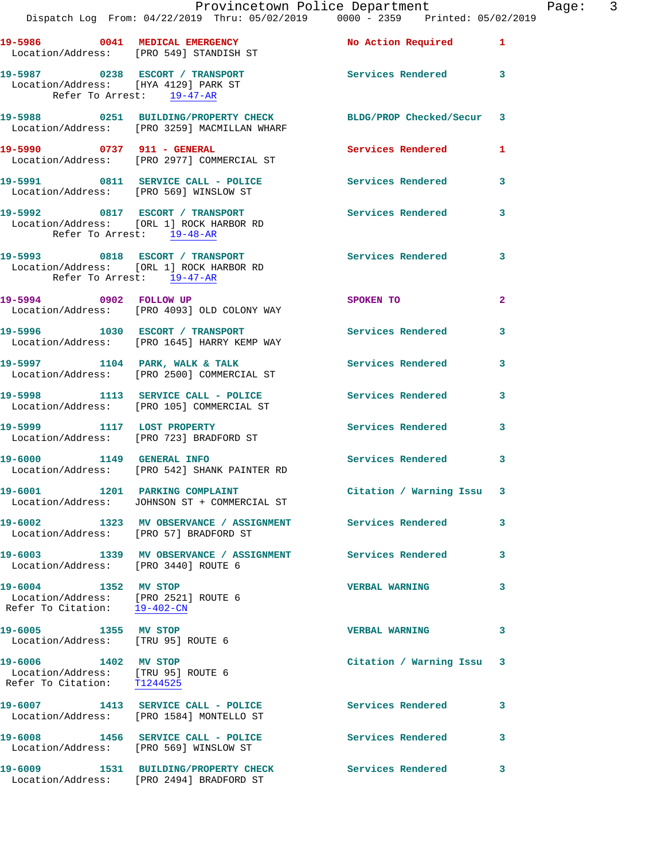|                                                                                                           |                                                                                                                | Provincetown Police Department | -P           |
|-----------------------------------------------------------------------------------------------------------|----------------------------------------------------------------------------------------------------------------|--------------------------------|--------------|
|                                                                                                           | Dispatch Log From: 04/22/2019 Thru: 05/02/2019 0000 - 2359 Printed: 05/02/2019                                 |                                |              |
|                                                                                                           | 19-5986 0041 MEDICAL EMERGENCY No Action Required 1<br>Location/Address: [PRO 549] STANDISH ST                 |                                |              |
| Refer To Arrest: 19-47-AR                                                                                 | 19-5987 0238 ESCORT / TRANSPORT<br>Location/Address: [HYA 4129] PARK ST                                        | Services Rendered              | 3            |
|                                                                                                           | 19-5988 0251 BUILDING/PROPERTY CHECK BLDG/PROP Checked/Secur 3<br>Location/Address: [PRO 3259] MACMILLAN WHARF |                                |              |
|                                                                                                           |                                                                                                                | Services Rendered              | 1            |
|                                                                                                           | 19-5991 0811 SERVICE CALL - POLICE<br>Location/Address: [PRO 569] WINSLOW ST                                   | Services Rendered              | 3            |
| Refer To Arrest: 19-48-AR                                                                                 | 19-5992 0817 ESCORT / TRANSPORT<br>Location/Address: [ORL 1] ROCK HARBOR RD                                    | Services Rendered              | 3            |
| Refer To Arrest: 19-47-AR                                                                                 | 19-5993 0818 ESCORT / TRANSPORT<br>Location/Address: [ORL 1] ROCK HARBOR RD                                    | Services Rendered              | 3            |
|                                                                                                           | 19-5994 0902 FOLLOW UP<br>Location/Address: [PRO 4093] OLD COLONY WAY                                          | SPOKEN TO                      | $\mathbf{2}$ |
|                                                                                                           | 19-5996 1030 ESCORT / TRANSPORT<br>Location/Address: [PRO 1645] HARRY KEMP WAY                                 | <b>Services Rendered</b>       | 3            |
|                                                                                                           | 19-5997 1104 PARK, WALK & TALK<br>Location/Address: [PRO 2500] COMMERCIAL ST                                   | Services Rendered              | 3            |
|                                                                                                           | 19-5998 1113 SERVICE CALL - POLICE 1999 Services Rendered<br>Location/Address: [PRO 105] COMMERCIAL ST         |                                | 3            |
|                                                                                                           | 19-5999 1117 LOST PROPERTY<br>Location/Address: [PRO 723] BRADFORD ST                                          | <b>Services Rendered</b>       | 3            |
|                                                                                                           | 19-6000 1149 GENERAL INFO<br>Location/Address: [PRO 542] SHANK PAINTER RD                                      | <b>Services Rendered</b>       | 3            |
|                                                                                                           | 19-6001 1201 PARKING COMPLAINT<br>Location/Address: JOHNSON ST + COMMERCIAL ST                                 | Citation / Warning Issu        | 3            |
| Location/Address: [PRO 57] BRADFORD ST                                                                    | 19-6002 1323 MV OBSERVANCE / ASSIGNMENT Services Rendered                                                      |                                | 3            |
| Location/Address: [PRO 3440] ROUTE 6                                                                      | 19-6003 1339 MV OBSERVANCE / ASSIGNMENT Services Rendered                                                      |                                | 3            |
| 19-6004 1352 MV STOP<br>Location/Address: [PRO 2521] ROUTE 6<br>Refer To Citation: $\frac{19-402-CN}{\ }$ |                                                                                                                | <b>VERBAL WARNING</b>          | 3            |
| 19-6005 1355 MV STOP<br>Location/Address: [TRU 95] ROUTE 6                                                |                                                                                                                | <b>VERBAL WARNING</b>          | 3            |
| 19-6006 1402 MV STOP<br>Location/Address: [TRU 95] ROUTE 6<br>Refer To Citation: T1244525                 |                                                                                                                | Citation / Warning Issu        | 3            |
|                                                                                                           | 19-6007 1413 SERVICE CALL - POLICE<br>Location/Address: [PRO 1584] MONTELLO ST                                 | <b>Services Rendered</b>       | 3            |
| Location/Address: [PRO 569] WINSLOW ST                                                                    | 19-6008 1456 SERVICE CALL - POLICE                                                                             | <b>Services Rendered</b>       | 3            |
| 19-6009                                                                                                   | 1531 BUILDING/PROPERTY CHECK                                                                                   | Services Rendered              | 3            |

Location/Address: [PRO 2494] BRADFORD ST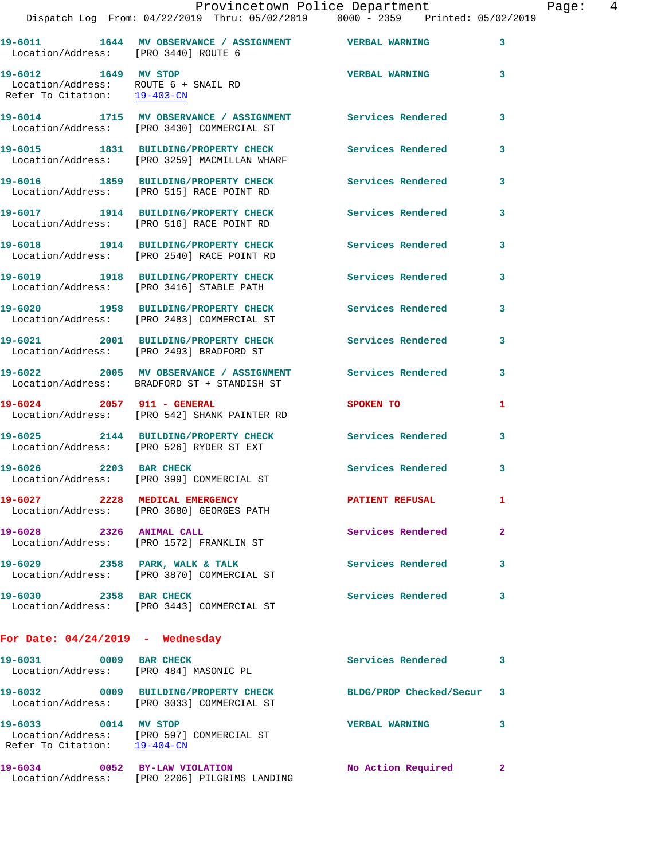|                                                                                              | Dispatch Log From: 04/22/2019 Thru: 05/02/2019 0000 - 2359 Printed: 05/02/2019                          |                          |                |
|----------------------------------------------------------------------------------------------|---------------------------------------------------------------------------------------------------------|--------------------------|----------------|
|                                                                                              | 19-6011 1644 MV OBSERVANCE / ASSIGNMENT VERBAL WARNING<br>Location/Address: [PRO 3440] ROUTE 6          |                          | 3              |
| 19-6012 1649 MV STOP<br>Location/Address: ROUTE 6 + SNAIL RD<br>Refer To Citation: 19-403-CN |                                                                                                         | <b>VERBAL WARNING</b>    | 3              |
|                                                                                              | 19-6014 1715 MV OBSERVANCE / ASSIGNMENT Services Rendered<br>Location/Address: [PRO 3430] COMMERCIAL ST |                          | 3              |
|                                                                                              | 19-6015 1831 BUILDING/PROPERTY CHECK<br>Location/Address: [PRO 3259] MACMILLAN WHARF                    | <b>Services Rendered</b> | 3              |
|                                                                                              | 19-6016 1859 BUILDING/PROPERTY CHECK<br>Location/Address: [PRO 515] RACE POINT RD                       | <b>Services Rendered</b> | 3              |
|                                                                                              | 19-6017 1914 BUILDING/PROPERTY CHECK<br>Location/Address: [PRO 516] RACE POINT RD                       | <b>Services Rendered</b> | 3              |
|                                                                                              | 19-6018 1914 BUILDING/PROPERTY CHECK Services Rendered<br>Location/Address: [PRO 2540] RACE POINT RD    |                          | 3              |
|                                                                                              | 19-6019 1918 BUILDING/PROPERTY CHECK<br>Location/Address: [PRO 3416] STABLE PATH                        | Services Rendered        | 3              |
|                                                                                              | 19-6020 1958 BUILDING/PROPERTY CHECK Services Rendered<br>Location/Address: [PRO 2483] COMMERCIAL ST    |                          | 3              |
|                                                                                              | 19-6021 2001 BUILDING/PROPERTY CHECK<br>Location/Address: [PRO 2493] BRADFORD ST                        | <b>Services Rendered</b> | 3              |
|                                                                                              | 19-6022 2005 MV OBSERVANCE / ASSIGNMENT<br>Location/Address: BRADFORD ST + STANDISH ST                  | Services Rendered        | 3              |
|                                                                                              | 19-6024 2057 911 - GENERAL<br>Location/Address: [PRO 542] SHANK PAINTER RD                              | SPOKEN TO                | 1              |
|                                                                                              | 19-6025 2144 BUILDING/PROPERTY CHECK<br>Location/Address: [PRO 526] RYDER ST EXT                        | <b>Services Rendered</b> | 3              |
| 19-6026 2203 BAR CHECK                                                                       | Location/Address: [PRO 399] COMMERCIAL ST                                                               | <b>Services Rendered</b> | 3              |
|                                                                                              | 19-6027 2228 MEDICAL EMERGENCY<br>Location/Address: [PRO 3680] GEORGES PATH                             | PATIENT REFUSAL          |                |
| 19-6028 2326 ANIMAL CALL                                                                     | Location/Address: [PRO 1572] FRANKLIN ST                                                                | Services Rendered        | $\overline{2}$ |
|                                                                                              | 19-6029 2358 PARK, WALK & TALK<br>Location/Address: [PRO 3870] COMMERCIAL ST                            | <b>Services Rendered</b> | 3              |
| 19-6030 2358 BAR CHECK                                                                       | Location/Address: [PRO 3443] COMMERCIAL ST                                                              | <b>Services Rendered</b> | 3              |
| For Date: $04/24/2019$ - Wednesday                                                           |                                                                                                         |                          |                |
| 19-6031 0009 BAR CHECK<br>Location/Address: [PRO 484] MASONIC PL                             |                                                                                                         | Services Rendered        | 3.             |
|                                                                                              | 19-6032 0009 BUILDING/PROPERTY CHECK<br>Location/Address: [PRO 3033] COMMERCIAL ST                      | BLDG/PROP Checked/Secur  | 3              |
| 19-6033 0014 MV STOP<br>Refer To Citation: 19-404-CN                                         | Location/Address: [PRO 597] COMMERCIAL ST                                                               | <b>VERBAL WARNING</b>    | 3              |

Location/Address: [PRO 2206] PILGRIMS LANDING

**19-6034 0052 BY-LAW VIOLATION No Action Required 2**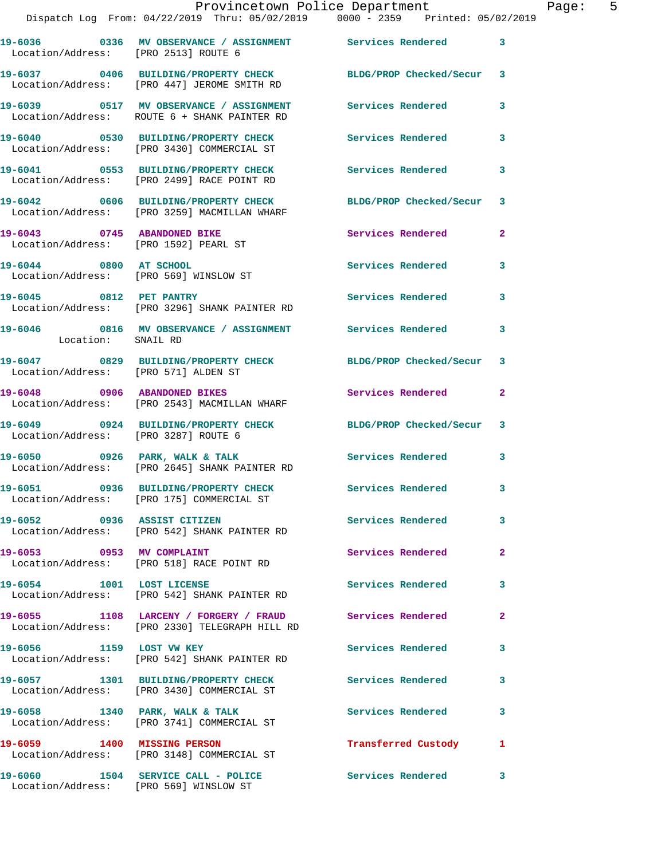|                                      | Provincetown Police Department<br>Dispatch Log From: 04/22/2019 Thru: 05/02/2019 0000 - 2359 Printed: 05/02/2019 |                          |                         |
|--------------------------------------|------------------------------------------------------------------------------------------------------------------|--------------------------|-------------------------|
| Location/Address: [PRO 2513] ROUTE 6 | 19-6036 		 0336 MV OBSERVANCE / ASSIGNMENT Services Rendered 3                                                   |                          |                         |
|                                      | 19-6037 0406 BUILDING/PROPERTY CHECK BLDG/PROP Checked/Secur 3<br>Location/Address: [PRO 447] JEROME SMITH RD    |                          |                         |
|                                      | 19-6039 0517 MV OBSERVANCE / ASSIGNMENT Services Rendered<br>Location/Address: ROUTE 6 + SHANK PAINTER RD        |                          | 3                       |
|                                      | 19-6040 0530 BUILDING/PROPERTY CHECK Services Rendered<br>Location/Address: [PRO 3430] COMMERCIAL ST             |                          | 3                       |
|                                      | 19-6041 0553 BUILDING/PROPERTY CHECK<br>Location/Address: [PRO 2499] RACE POINT RD                               | Services Rendered        | 3                       |
|                                      | 19-6042 0606 BUILDING/PROPERTY CHECK BLDG/PROP Checked/Secur 3<br>Location/Address: [PRO 3259] MACMILLAN WHARF   |                          |                         |
|                                      | 19-6043      0745   ABANDONED BIKE<br>Location/Address:   [PRO 1592] PEARL ST                                    | Services Rendered        | $\mathbf{2}$            |
| 19-6044 0800 AT SCHOOL               | Location/Address: [PRO 569] WINSLOW ST                                                                           | Services Rendered        | 3                       |
|                                      | 19-6045 0812 PET PANTRY<br>Location/Address: [PRO 3296] SHANK PAINTER RD                                         | Services Rendered        | 3                       |
| Location: SNAIL RD                   | 19-6046 6816 MV OBSERVANCE / ASSIGNMENT Services Rendered                                                        |                          | 3                       |
| Location/Address: [PRO 571] ALDEN ST | 19-6047 0829 BUILDING/PROPERTY CHECK BLDG/PROP Checked/Secur 3                                                   |                          |                         |
|                                      | 19-6048 0906 ABANDONED BIKES<br>Location/Address: [PRO 2543] MACMILLAN WHARF                                     | Services Rendered        | $\mathbf{2}$            |
| Location/Address: [PRO 3287] ROUTE 6 | 19-6049 0924 BUILDING/PROPERTY CHECK BLDG/PROP Checked/Secur 3                                                   |                          |                         |
|                                      | 19-6050 0926 PARK, WALK & TALK Services Rendered<br>Location/Address: [PRO 2645] SHANK PAINTER RD                |                          | 3                       |
|                                      | 19-6051 0936 BUILDING/PROPERTY CHECK<br>Location/Address: [PRO 175] COMMERCIAL ST                                | <b>Services Rendered</b> | 3                       |
| 19-6052 0936 ASSIST CITIZEN          | Location/Address: [PRO 542] SHANK PAINTER RD                                                                     | Services Rendered 3      |                         |
|                                      | 19-6053 0953 MV COMPLAINT<br>Location/Address: [PRO 518] RACE POINT RD                                           | Services Rendered        | $\mathbf{2}$            |
| 19-6054 1001 LOST LICENSE            | Location/Address: [PRO 542] SHANK PAINTER RD                                                                     | Services Rendered        | 3                       |
|                                      | 19-6055 1108 LARCENY / FORGERY / FRAUD<br>Location/Address: [PRO 2330] TELEGRAPH HILL RD                         | Services Rendered        | $\mathbf{2}$            |
| 19-6056 1159 LOST VW KEY             | Location/Address: [PRO 542] SHANK PAINTER RD                                                                     | Services Rendered        | 3                       |
|                                      | 19-6057 1301 BUILDING/PROPERTY CHECK<br>Location/Address: [PRO 3430] COMMERCIAL ST                               | Services Rendered        | 3                       |
|                                      | 19-6058 1340 PARK, WALK & TALK<br>Location/Address: [PRO 3741] COMMERCIAL ST                                     | Services Rendered        | $\overline{\mathbf{3}}$ |
| 19-6059 1400 MISSING PERSON          | Location/Address: [PRO 3148] COMMERCIAL ST                                                                       | Transferred Custody 1    |                         |
|                                      |                                                                                                                  |                          |                         |

**19-6060 1504 SERVICE CALL - POLICE Services Rendered 3** 

Location/Address: [PRO 569] WINSLOW ST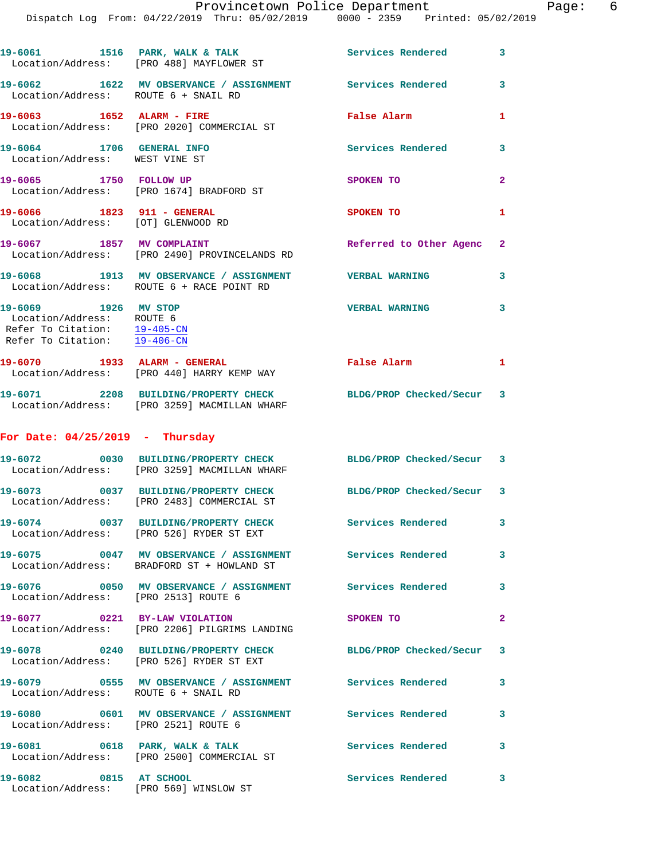|                                                                                                                               | 19-6061 1516 PARK, WALK & TALK 1999 Services Rendered<br>Location/Address: [PRO 488] MAYFLOWER ST              |                           | $\overline{\mathbf{3}}$ |
|-------------------------------------------------------------------------------------------------------------------------------|----------------------------------------------------------------------------------------------------------------|---------------------------|-------------------------|
| Location/Address: ROUTE 6 + SNAIL RD                                                                                          | 19-6062 1622 MV OBSERVANCE / ASSIGNMENT Services Rendered                                                      |                           | $\mathbf{3}$            |
| 19-6063 1652 ALARM - FIRE                                                                                                     | Location/Address: [PRO 2020] COMMERCIAL ST                                                                     | False Alarm               | 1                       |
| 19-6064 1706 GENERAL INFO<br>Location/Address: WEST VINE ST                                                                   |                                                                                                                | <b>Services Rendered</b>  | 3                       |
| 19-6065 1750 FOLLOW UP                                                                                                        | Location/Address: [PRO 1674] BRADFORD ST                                                                       | SPOKEN TO                 | $\mathbf{2}$            |
| 19-6066 1823 911 - GENERAL<br>Location/Address: [OT] GLENWOOD RD                                                              |                                                                                                                | SPOKEN TO                 | 1                       |
|                                                                                                                               | 19-6067 1857 MV COMPLAINT<br>Location/Address: [PRO 2490] PROVINCELANDS RD                                     | Referred to Other Agenc 2 |                         |
|                                                                                                                               | 19-6068 1913 MV OBSERVANCE / ASSIGNMENT<br>Location/Address: ROUTE 6 + RACE POINT RD                           | <b>VERBAL WARNING</b>     | 3                       |
| 19-6069 1926 MV STOP<br>Location/Address: ROUTE 6<br>Refer To Citation: $\frac{19-405-CN}{2}$<br>Refer To Citation: 19-406-CN |                                                                                                                | <b>VERBAL WARNING</b>     | 3                       |
|                                                                                                                               | 19-6070 1933 ALARM - GENERAL<br>Location/Address: [PRO 440] HARRY KEMP WAY                                     | False Alarm               | 1                       |
|                                                                                                                               | 19-6071 2208 BUILDING/PROPERTY CHECK BLDG/PROP Checked/Secur 3<br>Location/Address: [PRO 3259] MACMILLAN WHARF |                           |                         |
| For Date: $04/25/2019$ - Thursday                                                                                             |                                                                                                                |                           |                         |
|                                                                                                                               | 19-6072 0030 BUILDING/PROPERTY CHECK BLDG/PROP Checked/Secur 3<br>Location/Address: [PRO 3259] MACMILLAN WHARF |                           |                         |
|                                                                                                                               | 19-6073 0037 BUILDING/PROPERTY CHECK<br>Location/Address: [PRO 2483] COMMERCIAL ST                             | BLDG/PROP Checked/Secur 3 |                         |
|                                                                                                                               | 19-6074 0037 BUILDING/PROPERTY CHECK<br>Location/Address: [PRO 526] RYDER ST EXT                               | Services Rendered         | 3                       |
|                                                                                                                               | 19-6075 0047 MV OBSERVANCE / ASSIGNMENT Services Rendered<br>Location/Address: BRADFORD ST + HOWLAND ST        |                           | $\overline{\mathbf{3}}$ |
| Location/Address: [PRO 2513] ROUTE 6                                                                                          | 19-6076 0050 MV OBSERVANCE / ASSIGNMENT Services Rendered                                                      |                           | $\overline{\mathbf{3}}$ |
| 19-6077 0221 BY-LAW VIOLATION                                                                                                 | Location/Address: [PRO 2206] PILGRIMS LANDING                                                                  | <b>SPOKEN TO</b>          | $\overline{2}$          |
|                                                                                                                               | 19-6078 0240 BUILDING/PROPERTY CHECK BLDG/PROP Checked/Secur 3<br>Location/Address: [PRO 526] RYDER ST EXT     |                           |                         |
| Location/Address: ROUTE 6 + SNAIL RD                                                                                          | 19-6079 0555 MV OBSERVANCE / ASSIGNMENT Services Rendered 3                                                    |                           |                         |
| Location/Address: [PRO 2521] ROUTE 6                                                                                          | 19-6080 0601 MV OBSERVANCE / ASSIGNMENT Services Rendered                                                      |                           | 3                       |
|                                                                                                                               | 19-6081 0618 PARK, WALK & TALK<br>Location/Address: [PRO 2500] COMMERCIAL ST                                   | <b>Services Rendered</b>  | $\overline{\mathbf{3}}$ |
| 19-6082 0815 AT SCHOOL                                                                                                        | Location/Address: [PRO 569] WINSLOW ST                                                                         | Services Rendered         | 3                       |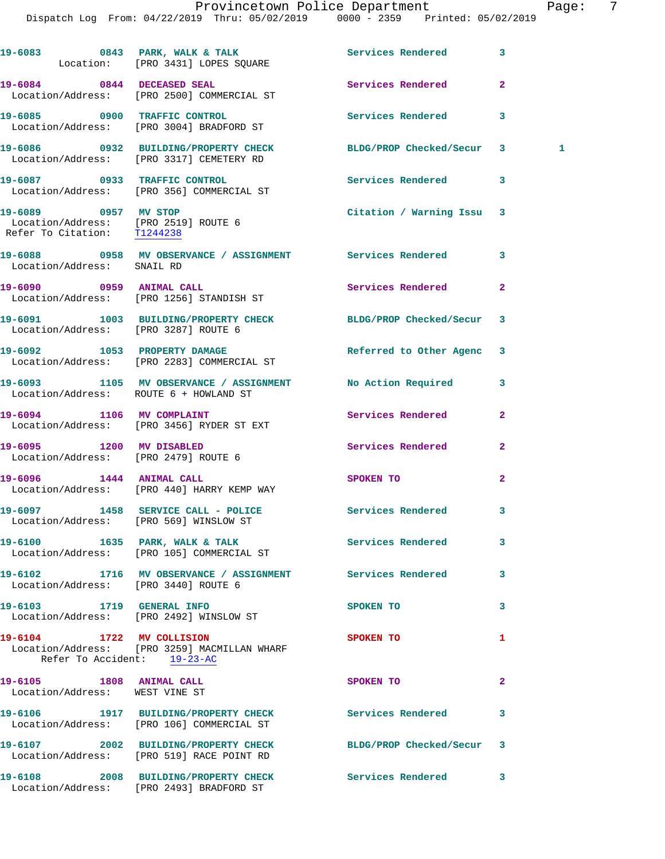Dispatch Log From: 04/22/2019 Thru: 05/02/2019 0000 - 2359 Printed: 05/02/2019

|                             | 19-6083 0843 PARK, WALK & TALK 3 Services Rendered<br>Location: [PRO 3431] LOPES SQUARE                  |                           | 3                 |
|-----------------------------|----------------------------------------------------------------------------------------------------------|---------------------------|-------------------|
|                             | 19-6084 0844 DECEASED SEAL<br>Location/Address: [PRO 2500] COMMERCIAL ST                                 | Services Rendered         | $\overline{a}$    |
|                             | 19-6085 0900 TRAFFIC CONTROL<br>Location/Address: [PRO 3004] BRADFORD ST                                 | <b>Services Rendered</b>  | 3                 |
|                             | 19-6086 0932 BUILDING/PROPERTY CHECK<br>Location/Address: [PRO 3317] CEMETERY RD                         | BLDG/PROP Checked/Secur   | $\mathbf{3}$<br>1 |
|                             | 19-6087 0933 TRAFFIC CONTROL<br>Location/Address: [PRO 356] COMMERCIAL ST                                | Services Rendered         | 3                 |
| Refer To Citation: T1244238 | 19-6089 0957 MV STOP<br>Location/Address: [PRO 2519] ROUTE 6                                             | Citation / Warning Issu 3 |                   |
| Location/Address: SNAIL RD  | 19-6088 6958 MV OBSERVANCE / ASSIGNMENT Services Rendered                                                |                           | 3                 |
|                             | 19-6090 0959 ANIMAL CALL<br>Location/Address: [PRO 1256] STANDISH ST                                     | Services Rendered         | $\mathbf{2}$      |
|                             | 19-6091 1003 BUILDING/PROPERTY CHECK<br>Location/Address: [PRO 3287] ROUTE 6                             | BLDG/PROP Checked/Secur   | 3                 |
|                             | 19-6092 1053 PROPERTY DAMAGE<br>Location/Address: [PRO 2283] COMMERCIAL ST                               | Referred to Other Agenc   | 3                 |
|                             | 19-6093 1105 MV OBSERVANCE / ASSIGNMENT No Action Required<br>Location/Address: ROUTE 6 + HOWLAND ST     |                           | 3                 |
|                             | 19-6094 1106 MV COMPLAINT<br>Location/Address: [PRO 3456] RYDER ST EXT                                   | Services Rendered         | $\overline{a}$    |
|                             | 19-6095 1200 MV DISABLED<br>Location/Address: [PRO 2479] ROUTE 6                                         | Services Rendered         | 2                 |
|                             | 19-6096 1444 ANIMAL CALL<br>Location/Address: [PRO 440] HARRY KEMP WAY                                   | SPOKEN TO                 | 2                 |
|                             | 19-6097 1458 SERVICE CALL - POLICE Services Rendered<br>Location/Address: [PRO 569] WINSLOW ST           |                           | 3                 |
|                             | 19-6100 1635 PARK, WALK & TALK Services Rendered<br>Location/Address: [PRO 105] COMMERCIAL ST            |                           | 3                 |
|                             | 19-6102 1716 MV OBSERVANCE / ASSIGNMENT Services Rendered<br>Location/Address: [PRO 3440] ROUTE 6        |                           | 3                 |
|                             | 19-6103 1719 GENERAL INFO<br>Location/Address: [PRO 2492] WINSLOW ST                                     | SPOKEN TO                 | 3                 |
|                             | 19-6104 1722 MV COLLISION<br>Location/Address: [PRO 3259] MACMILLAN WHARF<br>Refer To Accident: 19-23-AC | SPOKEN TO                 | 1                 |
|                             | 19-6105 1808 ANIMAL CALL<br>Location/Address: WEST VINE ST                                               | SPOKEN TO                 | 2                 |
|                             | 19-6106 1917 BUILDING/PROPERTY CHECK<br>Location/Address: [PRO 106] COMMERCIAL ST                        | Services Rendered         | 3                 |
|                             | 19-6107 2002 BUILDING/PROPERTY CHECK<br>Location/Address: [PRO 519] RACE POINT RD                        | BLDG/PROP Checked/Secur   | 3                 |
|                             | 19-6108 2008 BUILDING/PROPERTY CHECK Services Rendered<br>Location/Address: [PRO 2493] BRADFORD ST       |                           | 3                 |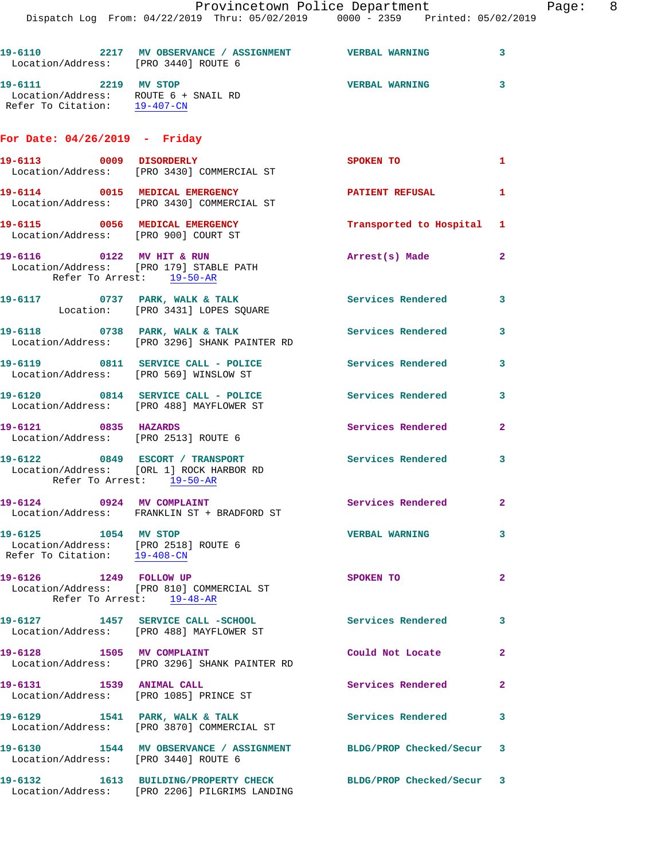Provincetown Police Department Page: 8 Dispatch Log From: 04/22/2019 Thru: 05/02/2019 0000 - 2359 Printed: 05/02/2019 **19-6110 2217 MV OBSERVANCE / ASSIGNMENT VERBAL WARNING 3**  Location/Address: [PRO 3440] ROUTE 6 **19-6111 2219 MV STOP VERBAL WARNING 3**  Location/Address: ROUTE 6 + SNAIL RD Refer To Citation: 19-407-CN **For Date: 04/26/2019 - Friday 19-6113 0009 DISORDERLY SPOKEN TO 1**  Location/Address: [PRO 3430] COMMERCIAL ST **19-6114 0015 MEDICAL EMERGENCY PATIENT REFUSAL 1**  Location/Address: [PRO 3430] COMMERCIAL ST **19-6115 0056 MEDICAL EMERGENCY Transported to Hospital 1**  Location/Address: [PRO 900] COURT ST **19-6116 0122 MV HIT & RUN Arrest(s) Made 2**  Location/Address: [PRO 179] STABLE PATH Refer To Arrest: 19-50-AR **19-6117 0737 PARK, WALK & TALK Services Rendered 3**  Location: [PRO 3431] LOPES SQUARE **19-6118 0738 PARK, WALK & TALK Services Rendered 3**  Location/Address: [PRO 3296] SHANK PAINTER RD 19-6119 0811 SERVICE CALL - POLICE 3<br>
3 Location/Address: [PRO 569] WINSLOW ST **19-6120 0814 SERVICE CALL - POLICE Services Rendered 3**  Location/Address: [PRO 488] MAYFLOWER ST **19-6121 0835 HAZARDS Services Rendered 2**  Location/Address: [PRO 2513] ROUTE 6 **19-6122 0849 ESCORT / TRANSPORT Services Rendered 3**  Location/Address: [ORL 1] ROCK HARBOR RD Refer To Arrest: 19-50-AR 19-6124 **0924 MV COMPLAINT 19-6124 Services Rendered** 2 Location/Address: FRANKLIN ST + BRADFORD ST

**19-6125 1054 MV STOP VERBAL WARNING 3**  Location/Address: [PRO 2518] ROUTE 6 Refer To Citation: 19-408-CN **19-6126 1249 FOLLOW UP SPOKEN TO 2**  Location/Address: [PRO 810] COMMERCIAL ST Refer To Arrest: 19-48-AR **19-6127 1457 SERVICE CALL -SCHOOL Services Rendered 3**  Location/Address: [PRO 488] MAYFLOWER ST **19-6128 1505 MV COMPLAINT Could Not Locate 2**  Location/Address: [PRO 3296] SHANK PAINTER RD **19-6131 1539 ANIMAL CALL Services Rendered 2**  Location/Address: [PRO 1085] PRINCE ST 19-6129 1541 PARK, WALK & TALK **Services Rendered** 3 Location/Address: [PRO 3870] COMMERCIAL ST **19-6130 1544 MV OBSERVANCE / ASSIGNMENT BLDG/PROP Checked/Secur 3** 

 Location/Address: [PRO 3440] ROUTE 6 **19-6132 1613 BUILDING/PROPERTY CHECK BLDG/PROP Checked/Secur 3**  Location/Address: [PRO 2206] PILGRIMS LANDING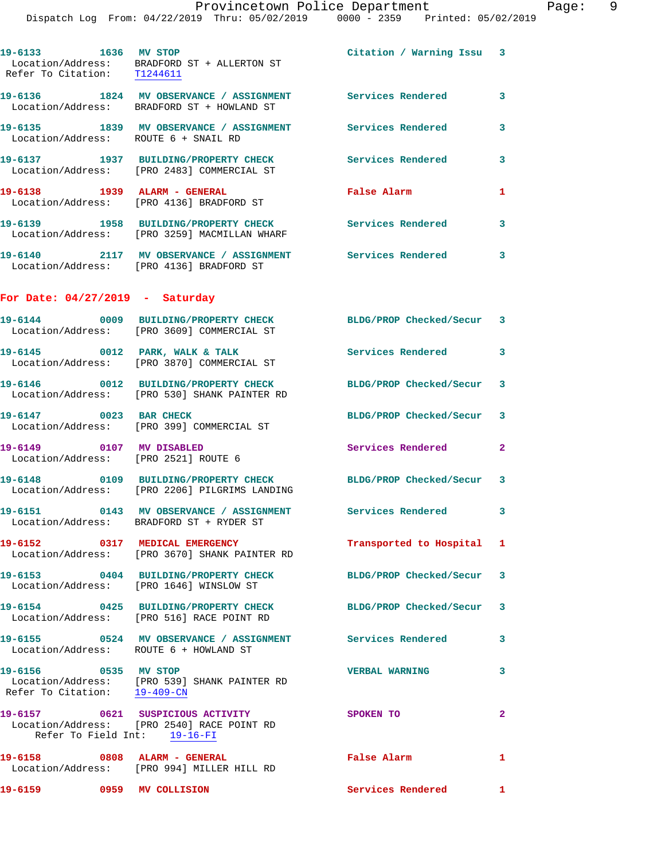|                                        | Provincetown Police Department<br>Dispatch Log From: 04/22/2019 Thru: 05/02/2019 0000 - 2359 Printed: 05/02/2019                        |                           |                |
|----------------------------------------|-----------------------------------------------------------------------------------------------------------------------------------------|---------------------------|----------------|
| 19-6133 1636 MV STOP                   | $\begin{tabular}{ll} Location/Address: & \texttt{BRADFORD} ST + ALLERTON ST \\ Refer To Citation: & \underline{T1244611} \end{tabular}$ | Citation / Warning Issu 3 |                |
|                                        | 19-6136 1824 MV OBSERVANCE / ASSIGNMENT Services Rendered<br>Location/Address: BRADFORD ST + HOWLAND ST                                 |                           | 3              |
| Location/Address: ROUTE 6 + SNAIL RD   | 19-6135 1839 MV OBSERVANCE / ASSIGNMENT Services Rendered                                                                               |                           | 3              |
|                                        | 19-6137 1937 BUILDING/PROPERTY CHECK<br>Location/Address: [PRO 2483] COMMERCIAL ST                                                      | <b>Services Rendered</b>  | 3              |
|                                        | Location/Address: [PRO 4136] BRADFORD ST                                                                                                | False Alarm               | 1              |
|                                        | 19-6139 1958 BUILDING/PROPERTY CHECK<br>Location/Address: [PRO 3259] MACMILLAN WHARF                                                    | Services Rendered         | 3              |
|                                        | 19-6140 2117 MV OBSERVANCE / ASSIGNMENT Services Rendered<br>Location/Address: [PRO 4136] BRADFORD ST                                   |                           | 3              |
| For Date: $04/27/2019$ - Saturday      |                                                                                                                                         |                           |                |
|                                        | 19-6144 0009 BUILDING/PROPERTY CHECK<br>Location/Address: [PRO 3609] COMMERCIAL ST                                                      | BLDG/PROP Checked/Secur   | 3              |
|                                        | 19-6145 0012 PARK, WALK & TALK<br>Location/Address: [PRO 3870] COMMERCIAL ST                                                            | <b>Services Rendered</b>  | 3              |
|                                        | 19-6146 0012 BUILDING/PROPERTY CHECK<br>Location/Address: [PRO 530] SHANK PAINTER RD                                                    | BLDG/PROP Checked/Secur   | 3              |
|                                        | 19-6147 0023 BAR CHECK<br>Location/Address: [PRO 399] COMMERCIAL ST                                                                     | BLDG/PROP Checked/Secur   | 3              |
| 19-6149 0107 MV DISABLED               | Location/Address: [PRO 2521] ROUTE 6                                                                                                    | Services Rendered         | $\overline{a}$ |
|                                        | 19-6148 0109 BUILDING/PROPERTY CHECK BLDG/PROP Checked/Secur 3<br>Location/Address: [PRO 2206] PILGRIMS LANDING                         |                           |                |
|                                        | 19-6151 0143 MV OBSERVANCE / ASSIGNMENT Services Rendered<br>Location/Address: BRADFORD ST + RYDER ST                                   |                           | 3              |
|                                        | 19-6152 0317 MEDICAL EMERGENCY<br>Location/Address: [PRO 3670] SHANK PAINTER RD                                                         | Transported to Hospital   | 1              |
|                                        | 19-6153 0404 BUILDING/PROPERTY CHECK BLDG/PROP Checked/Secur<br>Location/Address: [PRO 1646] WINSLOW ST                                 |                           | 3              |
|                                        | 19-6154 0425 BUILDING/PROPERTY CHECK<br>Location/Address: [PRO 516] RACE POINT RD                                                       | BLDG/PROP Checked/Secur   | 3              |
| Location/Address: ROUTE 6 + HOWLAND ST | 19-6155 0524 MV OBSERVANCE / ASSIGNMENT Services Rendered                                                                               |                           | 3              |
| 19-6156 0535 MV STOP                   | Location/Address: [PRO 539] SHANK PAINTER RD<br>Refer To Citation: $19-409-CN$                                                          | <b>VERBAL WARNING</b>     | 3              |
| Refer To Field Int: 19-16-FI           | 19-6157 0621 SUSPICIOUS ACTIVITY<br>Location/Address: [PRO 2540] RACE POINT RD                                                          | SPOKEN TO                 | $\mathbf{2}$   |
|                                        | 19-6158 0808 ALARM - GENERAL<br>Location/Address: [PRO 994] MILLER HILL RD                                                              | False Alarm               | 1              |
| 19-6159 0959 MV COLLISION              |                                                                                                                                         | Services Rendered         | 1              |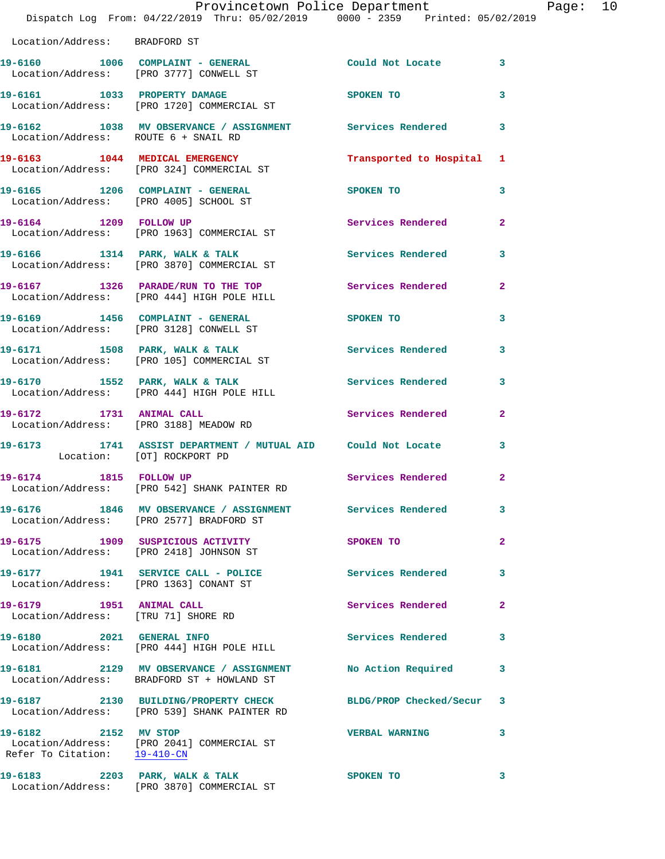|                                                                 | Dispatch Log From: 04/22/2019 Thru: 05/02/2019 0000 - 2359 Printed: 05/02/2019                           | Provincetown Police Department | Page: 10       |  |
|-----------------------------------------------------------------|----------------------------------------------------------------------------------------------------------|--------------------------------|----------------|--|
| Location/Address: BRADFORD ST                                   |                                                                                                          |                                |                |  |
|                                                                 | 19-6160 1006 COMPLAINT - GENERAL<br>Location/Address: [PRO 3777] CONWELL ST                              | Could Not Locate 3             |                |  |
|                                                                 | 19-6161 1033 PROPERTY DAMAGE<br>Location/Address: [PRO 1720] COMMERCIAL ST                               | <b>SPOKEN TO</b>               | 3              |  |
| Location/Address: ROUTE 6 + SNAIL RD                            | 19-6162 1038 MV OBSERVANCE / ASSIGNMENT Services Rendered                                                |                                | 3              |  |
|                                                                 | 19-6163 1044 MEDICAL EMERGENCY<br>Location/Address: [PRO 324] COMMERCIAL ST                              | Transported to Hospital 1      |                |  |
|                                                                 | 19-6165 1206 COMPLAINT - GENERAL<br>Location/Address: [PRO 4005] SCHOOL ST                               | SPOKEN TO                      | 3              |  |
|                                                                 | 19-6164 1209 FOLLOW UP<br>Location/Address: [PRO 1963] COMMERCIAL ST                                     | Services Rendered 2            |                |  |
|                                                                 | 19-6166 1314 PARK, WALK & TALK 1998 Services Rendered<br>Location/Address: [PRO 3870] COMMERCIAL ST      |                                | 3              |  |
|                                                                 | 19-6167 1326 PARADE/RUN TO THE TOP Services Rendered<br>Location/Address: [PRO 444] HIGH POLE HILL       |                                | $\mathbf{2}$   |  |
|                                                                 | 19-6169 1456 COMPLAINT - GENERAL<br>Location/Address: [PRO 3128] CONWELL ST                              | SPOKEN TO                      | 3              |  |
|                                                                 | 19-6171 1508 PARK, WALK & TALK<br>Location/Address: [PRO 105] COMMERCIAL ST                              | <b>Services Rendered</b>       | 3              |  |
|                                                                 |                                                                                                          | Services Rendered              | 3              |  |
|                                                                 | 19-6172 1731 ANIMAL CALL<br>Location/Address: [PRO 3188] MEADOW RD                                       | Services Rendered              | $\mathbf{2}$   |  |
| Location: [OT] ROCKPORT PD                                      | 19-6173 1741 ASSIST DEPARTMENT / MUTUAL AID Could Not Locate 3                                           |                                |                |  |
| 19-6174 1815 FOLLOW UP                                          | Location/Address: [PRO 542] SHANK PAINTER RD                                                             | <b>Services Rendered</b>       | $\overline{2}$ |  |
|                                                                 | 19-6176 1846 MV OBSERVANCE / ASSIGNMENT Services Rendered<br>Location/Address: [PRO 2577] BRADFORD ST    |                                | 3              |  |
|                                                                 | 19-6175 1909 SUSPICIOUS ACTIVITY<br>Location/Address: [PRO 2418] JOHNSON ST                              | SPOKEN TO                      | $\mathbf{2}$   |  |
|                                                                 | 19-6177 1941 SERVICE CALL - POLICE Services Rendered<br>Location/Address: [PRO 1363] CONANT ST           |                                | 3              |  |
| 19-6179 1951 ANIMAL CALL<br>Location/Address: [TRU 71] SHORE RD |                                                                                                          | Services Rendered              | $\mathbf{2}$   |  |
|                                                                 | 19-6180 2021 GENERAL INFO<br>Location/Address: [PRO 444] HIGH POLE HILL                                  | Services Rendered              | 3              |  |
|                                                                 | 19-6181 2129 MV OBSERVANCE / ASSIGNMENT No Action Required<br>Location/Address: BRADFORD ST + HOWLAND ST |                                | 3              |  |
|                                                                 | 19-6187 2130 BUILDING/PROPERTY CHECK<br>Location/Address: [PRO 539] SHANK PAINTER RD                     | BLDG/PROP Checked/Secur 3      |                |  |
| 19-6182 2152 MV STOP<br>Refer To Citation: 19-410-CN            | Location/Address: [PRO 2041] COMMERCIAL ST                                                               | <b>VERBAL WARNING</b>          | 3              |  |
|                                                                 | 19-6183 2203 PARK, WALK & TALK 2007 SPOKEN TO                                                            |                                | $\mathbf{3}$   |  |

Location/Address: [PRO 3870] COMMERCIAL ST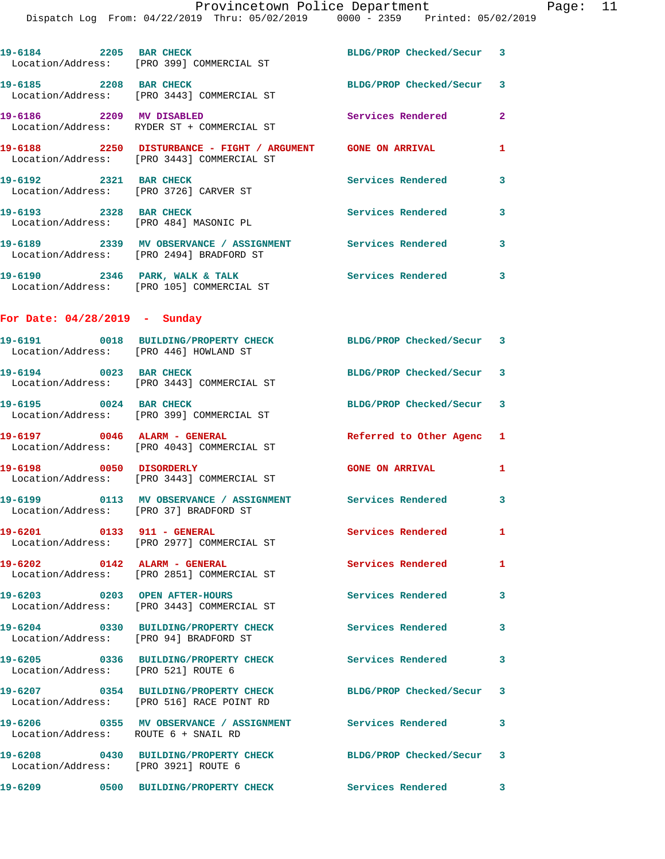Dispatch Log From: 04/22/2019 Thru: 05/02/2019 0000 - 2359 Printed: 05/02/2019

|                                                                  | 19-6184 2205 BAR CHECK BLDG/PROP Checked/Secur 3<br>Location/Address: [PRO 399] COMMERCIAL ST |                           |                         |
|------------------------------------------------------------------|-----------------------------------------------------------------------------------------------|---------------------------|-------------------------|
| 19-6185 2208 BAR CHECK                                           | Location/Address: [PRO 3443] COMMERCIAL ST                                                    | BLDG/PROP Checked/Secur 3 |                         |
| 19-6186 2209 MV DISABLED                                         | Location/Address: RYDER ST + COMMERCIAL ST                                                    | Services Rendered         | $\overline{2}$          |
|                                                                  | Location/Address: [PRO 3443] COMMERCIAL ST                                                    |                           | $\mathbf{1}$            |
| 19-6192 2321 BAR CHECK<br>Location/Address: [PRO 3726] CARVER ST |                                                                                               | <b>Services Rendered</b>  | $\overline{\mathbf{3}}$ |
| 19-6193 2328 BAR CHECK<br>Location/Address: [PRO 484] MASONIC PL |                                                                                               | <b>Services Rendered</b>  | $\overline{\mathbf{3}}$ |
|                                                                  | Location/Address: [PRO 2494] BRADFORD ST                                                      |                           | $\overline{\mathbf{3}}$ |
|                                                                  | Location/Address: [PRO 105] COMMERCIAL ST                                                     |                           | $\overline{\mathbf{3}}$ |
|                                                                  |                                                                                               |                           |                         |

**For Date: 04/28/2019 - Sunday**

| Location/Address: [PRO 446] HOWLAND ST | 19-6191  0018 BUILDING/PROPERTY CHECK                                             | BLDG/PROP Checked/Secur 3 |              |
|----------------------------------------|-----------------------------------------------------------------------------------|---------------------------|--------------|
| 19-6194 0023 BAR CHECK                 | Location/Address: [PRO 3443] COMMERCIAL ST                                        | BLDG/PROP Checked/Secur 3 |              |
| 19-6195 0024 BAR CHECK                 | Location/Address: [PRO 399] COMMERCIAL ST                                         | BLDG/PROP Checked/Secur 3 |              |
| 19-6197 0046 ALARM - GENERAL           | Location/Address: [PRO 4043] COMMERCIAL ST                                        | Referred to Other Agenc 1 |              |
| 19-6198 0050 DISORDERLY                | Location/Address: [PRO 3443] COMMERCIAL ST                                        | <b>GONE ON ARRIVAL</b>    | $\mathbf{1}$ |
| Location/Address: [PRO 37] BRADFORD ST |                                                                                   |                           | 3            |
|                                        | 19-6201 0133 911 - GENERAL<br>Location/Address: [PRO 2977] COMMERCIAL ST          | Services Rendered         | 1            |
| 19-6202 0142 ALARM - GENERAL           | Location/Address: [PRO 2851] COMMERCIAL ST                                        | <b>Services Rendered</b>  | $\mathbf{1}$ |
|                                        | 19-6203 0203 OPEN AFTER-HOURS<br>Location/Address: [PRO 3443] COMMERCIAL ST       | <b>Services Rendered</b>  | 3            |
| Location/Address: [PRO 94] BRADFORD ST | 19-6204 0330 BUILDING/PROPERTY CHECK                                              | <b>Services Rendered</b>  | 3            |
| Location/Address: [PRO 521] ROUTE 6    | 19-6205 0336 BUILDING/PROPERTY CHECK                                              | <b>Services Rendered</b>  | $\mathbf{3}$ |
|                                        | 19-6207 0354 BUILDING/PROPERTY CHECK<br>Location/Address: [PRO 516] RACE POINT RD | BLDG/PROP Checked/Secur 3 |              |
| Location/Address: ROUTE 6 + SNAIL RD   | 19-6206 <a> 0355</a> MV OBSERVANCE //> ASSIGNMENT<br>Services Rendered d 3        |                           |              |
| Location/Address: [PRO 3921] ROUTE 6   | 19-6208 0430 BUILDING/PROPERTY CHECK                                              | BLDG/PROP Checked/Secur 3 |              |
|                                        | 19-6209 0500 BUILDING/PROPERTY CHECK                                              | <b>Services Rendered</b>  | 3            |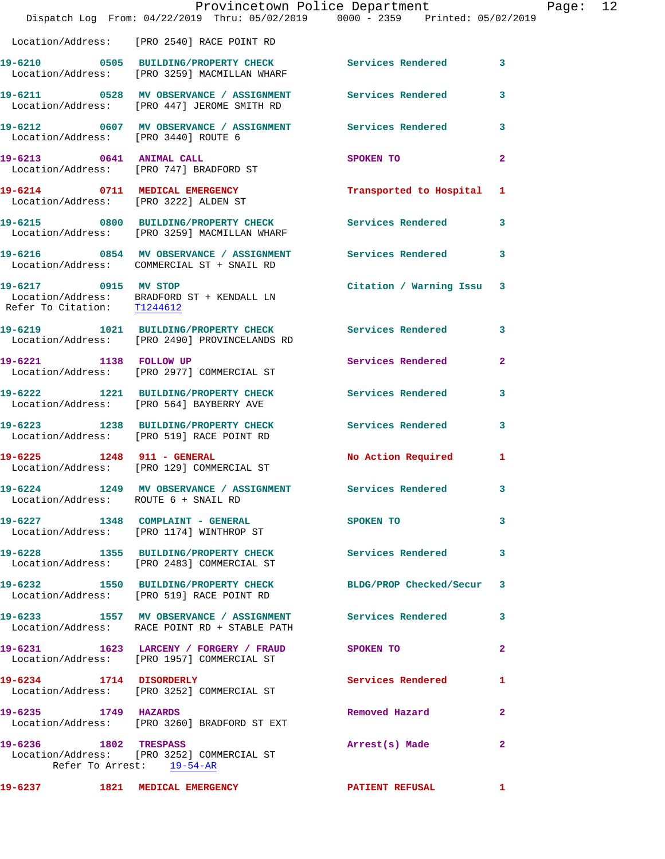|                                      | Provincetown Police Department<br>Dispatch Log From: 04/22/2019 Thru: 05/02/2019 0000 - 2359 Printed: 05/02/2019 |                           | Page: 12                |  |
|--------------------------------------|------------------------------------------------------------------------------------------------------------------|---------------------------|-------------------------|--|
|                                      | Location/Address: [PRO 2540] RACE POINT RD                                                                       |                           |                         |  |
|                                      | 19-6210 0505 BUILDING/PROPERTY CHECK Services Rendered 3<br>Location/Address: [PRO 3259] MACMILLAN WHARF         |                           |                         |  |
|                                      | 19-6211 0528 MV OBSERVANCE / ASSIGNMENT Services Rendered<br>Location/Address: [PRO 447] JEROME SMITH RD         |                           | 3                       |  |
|                                      | 19-6212 0607 MV OBSERVANCE / ASSIGNMENT Services Rendered<br>Location/Address: [PRO 3440] ROUTE 6                |                           | $\mathbf{3}$            |  |
|                                      | 19-6213 0641 ANIMAL CALL SPOKEN TO<br>Location/Address: [PRO 747] BRADFORD ST                                    |                           | $\overline{2}$          |  |
|                                      | 19-6214 0711 MEDICAL EMERGENCY<br>Location/Address: [PRO 3222] ALDEN ST                                          | Transported to Hospital 1 |                         |  |
|                                      | 19-6215 0800 BUILDING/PROPERTY CHECK Services Rendered<br>Location/Address: [PRO 3259] MACMILLAN WHARF           |                           | $\mathbf{3}$            |  |
|                                      | 19-6216 0854 MV OBSERVANCE / ASSIGNMENT Services Rendered 3<br>Location/Address: COMMERCIAL ST + SNAIL RD        |                           |                         |  |
|                                      | 19-6217 0915 MV STOP<br>Location/Address: BRADFORD ST + KENDALL LN<br>Refer To Citation: T1244612                | Citation / Warning Issu 3 |                         |  |
|                                      | 19-6219 1021 BUILDING/PROPERTY CHECK Services Rendered<br>Location/Address: [PRO 2490] PROVINCELANDS RD          |                           | 3                       |  |
|                                      | 19-6221 1138 FOLLOW UP<br>  Location/Address: [PRO 2977] COMMERCIAL ST                                           | Services Rendered         | $\mathbf{2}$            |  |
|                                      | 19-6222 1221 BUILDING/PROPERTY CHECK Services Rendered<br>Location/Address: [PRO 564] BAYBERRY AVE               |                           | 3                       |  |
|                                      | 19-6223 1238 BUILDING/PROPERTY CHECK<br>Location/Address: [PRO 519] RACE POINT RD                                | Services Rendered         | $\overline{\mathbf{3}}$ |  |
|                                      | 19-6225 1248 911 - GENERAL<br>Location/Address: [PRO 129] COMMERCIAL ST                                          | No Action Required        | 1                       |  |
| Location/Address: ROUTE 6 + SNAIL RD | 19-6224 1249 MV OBSERVANCE / ASSIGNMENT                                                                          | Services Rendered         | 3                       |  |
|                                      | 19-6227 1348 COMPLAINT - GENERAL<br>Location/Address: [PRO 1174] WINTHROP ST                                     | SPOKEN TO                 | 3                       |  |
|                                      | 19-6228 1355 BUILDING/PROPERTY CHECK<br>Location/Address: [PRO 2483] COMMERCIAL ST                               | Services Rendered         | 3                       |  |
|                                      | 19-6232 1550 BUILDING/PROPERTY CHECK<br>Location/Address: [PRO 519] RACE POINT RD                                | BLDG/PROP Checked/Secur   | $\mathbf{3}$            |  |
|                                      | 19-6233 1557 MV OBSERVANCE / ASSIGNMENT Services Rendered<br>Location/Address: RACE POINT RD + STABLE PATH       |                           | 3                       |  |
|                                      | 19-6231 1623 LARCENY / FORGERY / FRAUD SPOKEN TO<br>Location/Address: [PRO 1957] COMMERCIAL ST                   |                           | $\mathbf{2}$            |  |
| 19-6234 1714 DISORDERLY              | Location/Address: [PRO 3252] COMMERCIAL ST                                                                       | Services Rendered         | 1                       |  |
| 19-6235 1749 HAZARDS                 | Location/Address: [PRO 3260] BRADFORD ST EXT                                                                     | Removed Hazard            | $\mathbf{2}$            |  |
| 19-6236 1802 TRESPASS                | Location/Address: [PRO 3252] COMMERCIAL ST<br>Refer To Arrest: 19-54-AR                                          | Arrest(s) Made            | $\mathbf{2}$            |  |
| 19-6237 1821 MEDICAL EMERGENCY       |                                                                                                                  | <b>PATIENT REFUSAL</b>    | 1.                      |  |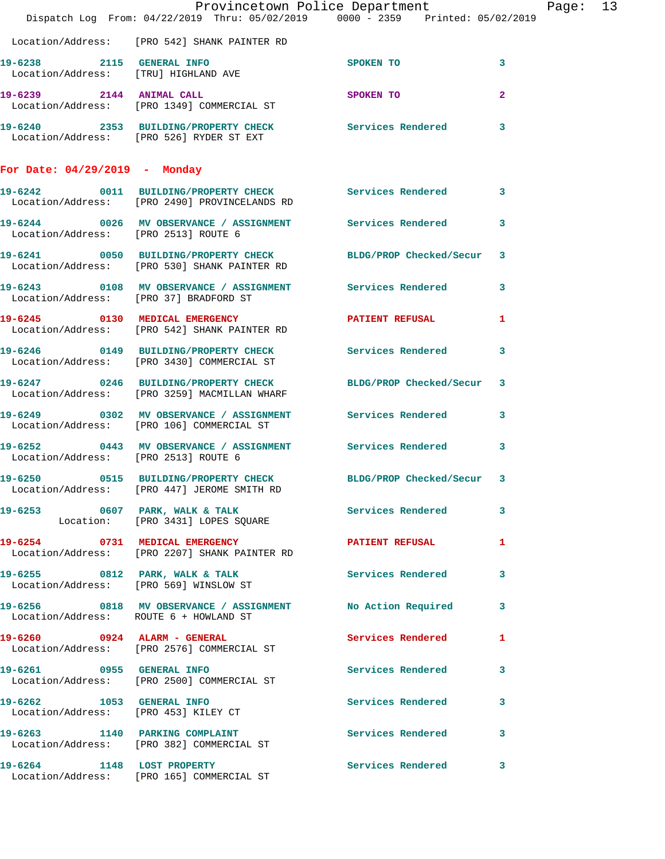|                                      | Dispatch Log From: 04/22/2019 Thru: 05/02/2019 0000 - 2359 Printed: 05/02/2019                                 | Provincetown Police Department |              | Page: 13 |  |
|--------------------------------------|----------------------------------------------------------------------------------------------------------------|--------------------------------|--------------|----------|--|
|                                      | Location/Address: [PRO 542] SHANK PAINTER RD                                                                   |                                |              |          |  |
|                                      | 19-6238 2115 GENERAL INFO<br>Location/Address: [TRU] HIGHLAND AVE                                              | SPOKEN TO                      | 3            |          |  |
|                                      | 19-6239 2144 ANIMAL CALL<br>Location/Address: [PRO 1349] COMMERCIAL ST                                         | SPOKEN TO                      | $\mathbf{2}$ |          |  |
|                                      | 19-6240 2353 BUILDING/PROPERTY CHECK Services Rendered 3<br>Location/Address: [PRO 526] RYDER ST EXT           |                                |              |          |  |
| For Date: $04/29/2019$ - Monday      |                                                                                                                |                                |              |          |  |
|                                      | 19-6242 0011 BUILDING/PROPERTY CHECK Services Rendered 3<br>Location/Address: [PRO 2490] PROVINCELANDS RD      |                                |              |          |  |
|                                      | 19-6244 0026 MV OBSERVANCE / ASSIGNMENT Services Rendered 3<br>Location/Address: [PRO 2513] ROUTE 6            |                                |              |          |  |
|                                      | 19-6241 0050 BUILDING/PROPERTY CHECK BLDG/PROP Checked/Secur 3<br>Location/Address: [PRO 530] SHANK PAINTER RD |                                |              |          |  |
|                                      | 19-6243 0108 MV OBSERVANCE / ASSIGNMENT Services Rendered 3<br>Location/Address: [PRO 37] BRADFORD ST          |                                |              |          |  |
|                                      | 19-6245 0130 MEDICAL EMERGENCY PATIENT REFUSAL<br>Location/Address: [PRO 542] SHANK PAINTER RD                 |                                | $\mathbf{1}$ |          |  |
|                                      | 19-6246 0149 BUILDING/PROPERTY CHECK Services Rendered 3<br>Location/Address: [PRO 3430] COMMERCIAL ST         |                                |              |          |  |
|                                      | 19-6247 0246 BUILDING/PROPERTY CHECK BLDG/PROP Checked/Secur 3<br>Location/Address: [PRO 3259] MACMILLAN WHARF |                                |              |          |  |
|                                      | 19-6249 0302 MV OBSERVANCE / ASSIGNMENT Services Rendered 3<br>Location/Address: [PRO 106] COMMERCIAL ST       |                                |              |          |  |
| Location/Address: [PRO 2513] ROUTE 6 | 19-6252 0443 MV OBSERVANCE / ASSIGNMENT Services Rendered                                                      |                                | 3            |          |  |
| 19-6250                              | 0515 BUILDING/PROPERTY CHECK BLDG/PROP Checked/Secur 3<br>Location/Address: [PRO 447] JEROME SMITH RD          |                                |              |          |  |
|                                      | 19-6253 0607 PARK, WALK & TALK 1998 Services Rendered 3<br>Location: [PRO 3431] LOPES SQUARE                   |                                |              |          |  |
|                                      | 19-6254 0731 MEDICAL EMERGENCY<br>Location/Address: [PRO 2207] SHANK PAINTER RD                                | PATIENT REFUSAL 1              |              |          |  |
|                                      | 19-6255 0812 PARK, WALK & TALK Services Rendered 3<br>Location/Address: [PRO 569] WINSLOW ST                   |                                |              |          |  |
|                                      | 19-6256 0818 MV OBSERVANCE / ASSIGNMENT No Action Required 3<br>Location/Address: ROUTE 6 + HOWLAND ST         |                                |              |          |  |
|                                      | 19-6260 0924 ALARM - GENERAL<br>Location/Address: [PRO 2576] COMMERCIAL ST                                     | Services Rendered 1            |              |          |  |
|                                      | 19-6261 0955 GENERAL INFO<br>Location/Address: [PRO 2500] COMMERCIAL ST                                        | Services Rendered 3            |              |          |  |
|                                      | 19-6262 1053 GENERAL INFO<br>Location/Address: [PRO 453] KILEY CT                                              | Services Rendered              | 3            |          |  |
|                                      | 19-6263 1140 PARKING COMPLAINT Services Rendered 3<br>Location/Address: [PRO 382] COMMERCIAL ST                |                                |              |          |  |
|                                      | 19-6264 1148 LOST PROPERTY<br>Location/Address: [PRO 165] COMMERCIAL ST                                        | Services Rendered              | 3            |          |  |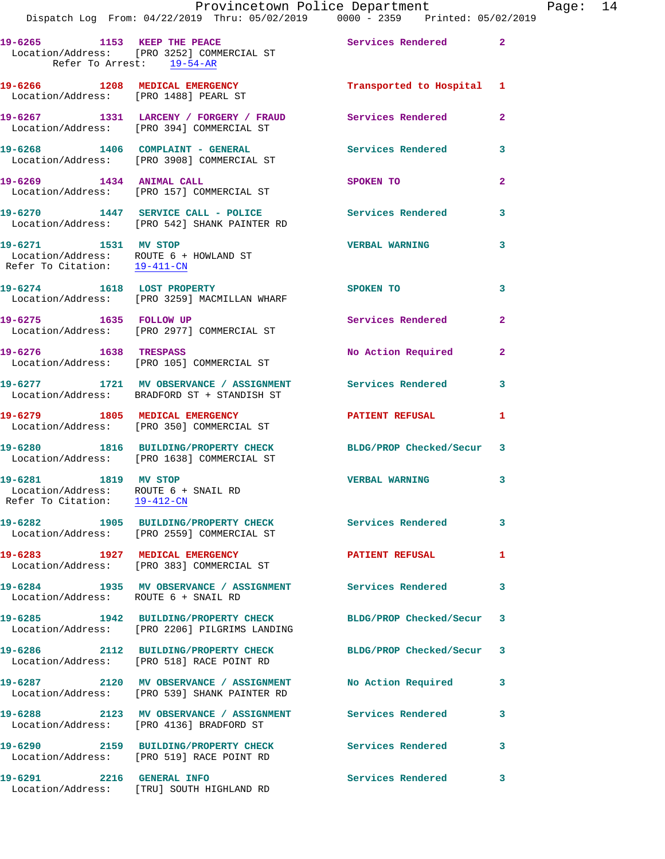Refer To Arrest: 19-54-AR

| 19-6266 1208 MEDICAL EMERGENCY<br>Location/Address: [PRO 1488] PEARL ST                        |                                                                                                            | Transported to Hospital 1 |                |
|------------------------------------------------------------------------------------------------|------------------------------------------------------------------------------------------------------------|---------------------------|----------------|
|                                                                                                | 19-6267 1331 LARCENY / FORGERY / FRAUD<br>Location/Address: [PRO 394] COMMERCIAL ST                        | <b>Services Rendered</b>  | $\overline{2}$ |
|                                                                                                | 19-6268 1406 COMPLAINT - GENERAL<br>Location/Address: [PRO 3908] COMMERCIAL ST                             | <b>Services Rendered</b>  | 3              |
| 19-6269 1434 ANIMAL CALL                                                                       | Location/Address: [PRO 157] COMMERCIAL ST                                                                  | SPOKEN TO                 | $\overline{2}$ |
|                                                                                                | 19-6270 1447 SERVICE CALL - POLICE<br>Location/Address: [PRO 542] SHANK PAINTER RD                         | <b>Services Rendered</b>  | 3              |
| 19-6271 1531 MV STOP<br>Location/Address: ROUTE 6 + HOWLAND ST<br>Refer To Citation: 19-411-CN |                                                                                                            | <b>VERBAL WARNING</b>     | 3              |
| 19-6274 1618 LOST PROPERTY                                                                     | Location/Address: [PRO 3259] MACMILLAN WHARF                                                               | SPOKEN TO                 | 3              |
| 19-6275 1635 FOLLOW UP                                                                         | Location/Address: [PRO 2977] COMMERCIAL ST                                                                 | Services Rendered         | $\overline{2}$ |
| 19-6276 1638 TRESPASS                                                                          | Location/Address: [PRO 105] COMMERCIAL ST                                                                  | No Action Required        | $\mathbf{2}$   |
|                                                                                                | 19-6277 1721 MV OBSERVANCE / ASSIGNMENT<br>Location/Address: BRADFORD ST + STANDISH ST                     | <b>Services Rendered</b>  | 3              |
|                                                                                                | 19-6279 1805 MEDICAL EMERGENCY<br>Location/Address: [PRO 350] COMMERCIAL ST                                | <b>PATIENT REFUSAL</b>    | $\mathbf{1}$   |
|                                                                                                | 19-6280 1816 BUILDING/PROPERTY CHECK<br>Location/Address: [PRO 1638] COMMERCIAL ST                         | BLDG/PROP Checked/Secur 3 |                |
| 19-6281 1819 MV STOP<br>Location/Address: ROUTE 6 + SNAIL RD<br>Refer To Citation: 19-412-CN   |                                                                                                            | <b>VERBAL WARNING</b>     | 3              |
|                                                                                                | 19-6282 1905 BUILDING/PROPERTY CHECK<br>Location/Address: [PRO 2559] COMMERCIAL ST                         | Services Rendered 3       |                |
| 19-6283 1927 MEDICAL EMERGENCY                                                                 | Location/Address: [PRO 383] COMMERCIAL ST                                                                  | <b>PATIENT REFUSAL</b>    | 1              |
| Location/Address: ROUTE 6 + SNAIL RD                                                           |                                                                                                            |                           | 3              |
|                                                                                                | 19-6285 1942 BUILDING/PROPERTY CHECK<br>Location/Address: [PRO 2206] PILGRIMS LANDING                      | BLDG/PROP Checked/Secur 3 |                |
|                                                                                                | 19-6286 2112 BUILDING/PROPERTY CHECK<br>Location/Address: [PRO 518] RACE POINT RD                          | BLDG/PROP Checked/Secur 3 |                |
|                                                                                                | 19-6287 2120 MV OBSERVANCE / ASSIGNMENT No Action Required<br>Location/Address: [PRO 539] SHANK PAINTER RD |                           | 3              |
|                                                                                                | 19-6288 2123 MV OBSERVANCE / ASSIGNMENT Services Rendered<br>Location/Address: [PRO 4136] BRADFORD ST      |                           | 3              |
| 19-6290                                                                                        | 2159 BUILDING/PROPERTY CHECK Services Rendered<br>Location/Address: [PRO 519] RACE POINT RD                |                           | 3              |
|                                                                                                | 19-6291 2216 GENERAL INFO<br>Location/Address: [TRU] SOUTH HIGHLAND RD                                     | <b>Services Rendered</b>  | 3              |
|                                                                                                |                                                                                                            |                           |                |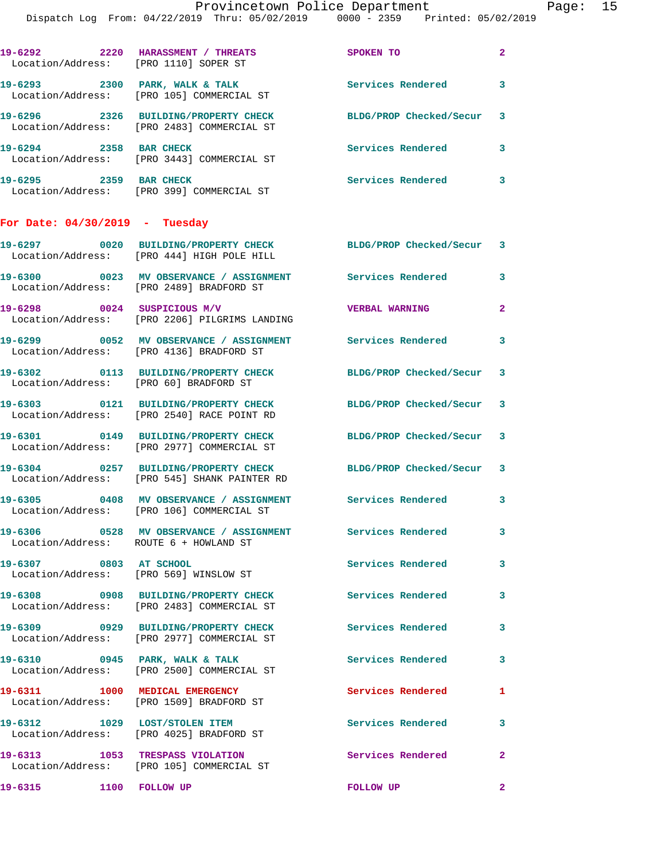Page:  $15$ <br>(2019)

|                                        | Provincetown Police Department<br>Dispatch Log From: 04/22/2019 Thru: 05/02/2019 0000 - 2359 Printed: 05/02/2019 |                          |              |
|----------------------------------------|------------------------------------------------------------------------------------------------------------------|--------------------------|--------------|
|                                        | 19-6292 2220 HARASSMENT / THREATS<br>Location/Address: [PRO 1110] SOPER ST                                       | SPOKEN TO                | $\mathbf{2}$ |
|                                        | 19-6293 2300 PARK, WALK & TALK<br>Location/Address: [PRO 105] COMMERCIAL ST                                      | <b>Services Rendered</b> | 3            |
|                                        | 19-6296 2326 BUILDING/PROPERTY CHECK<br>Location/Address: [PRO 2483] COMMERCIAL ST                               | BLDG/PROP Checked/Secur  | 3            |
| 19-6294 2358 BAR CHECK                 | Location/Address: [PRO 3443] COMMERCIAL ST                                                                       | Services Rendered        | 3            |
| 19-6295 2359 BAR CHECK                 | Location/Address: [PRO 399] COMMERCIAL ST                                                                        | <b>Services Rendered</b> | 3            |
| For Date: $04/30/2019$ - Tuesday       |                                                                                                                  |                          |              |
|                                        | 19-6297 0020 BUILDING/PROPERTY CHECK BLDG/PROP Checked/Secur<br>Location/Address: [PRO 444] HIGH POLE HILL       |                          | 3            |
|                                        | 19-6300 0023 MV OBSERVANCE / ASSIGNMENT Services Rendered<br>Location/Address: [PRO 2489] BRADFORD ST            |                          | 3            |
|                                        | 19-6298 0024 SUSPICIOUS M/V<br>Location/Address: [PRO 2206] PILGRIMS LANDING                                     | <b>VERBAL WARNING</b>    | $\mathbf{2}$ |
|                                        | 19-6299 6052 MV OBSERVANCE / ASSIGNMENT Services Rendered<br>Location/Address: [PRO 4136] BRADFORD ST            |                          | 3            |
| Location/Address: [PRO 60] BRADFORD ST | 19-6302 0113 BUILDING/PROPERTY CHECK                                                                             | BLDG/PROP Checked/Secur  | 3            |
|                                        | 19-6303 0121 BUILDING/PROPERTY CHECK<br>Location/Address: [PRO 2540] RACE POINT RD                               | BLDG/PROP Checked/Secur  | 3            |
|                                        | 19-6301 0149 BUILDING/PROPERTY CHECK<br>Location/Address: [PRO 2977] COMMERCIAL ST                               | BLDG/PROP Checked/Secur  | 3            |
|                                        | 19-6304 0257 BUILDING/PROPERTY CHECK<br>Location/Address: [PRO 545] SHANK PAINTER RD                             | BLDG/PROP Checked/Secur  | 3            |
|                                        | 19-6305 0408 MV OBSERVANCE / ASSIGNMENT Services Rendered<br>Location/Address: [PRO 106] COMMERCIAL ST           |                          | 3            |
| Location/Address: ROUTE 6 + HOWLAND ST | 19-6306  0528 MV OBSERVANCE / ASSIGNMENT Services Rendered                                                       |                          | 3            |
| 19-6307 0803 AT SCHOOL                 | Location/Address: [PRO 569] WINSLOW ST                                                                           | <b>Services Rendered</b> | 3            |
|                                        | 19-6308 0908 BUILDING/PROPERTY CHECK<br>Location/Address: [PRO 2483] COMMERCIAL ST                               | <b>Services Rendered</b> | 3            |
|                                        | 19-6309 0929 BUILDING/PROPERTY CHECK Services Rendered<br>Location/Address: [PRO 2977] COMMERCIAL ST             |                          | 3            |
|                                        | 19-6310 0945 PARK, WALK & TALK<br>Location/Address: [PRO 2500] COMMERCIAL ST                                     | <b>Services Rendered</b> | 3            |
|                                        | 19-6311 1000 MEDICAL EMERGENCY<br>Location/Address: [PRO 1509] BRADFORD ST                                       | Services Rendered        | 1            |
|                                        | 19-6312 1029 LOST/STOLEN ITEM<br>Location/Address: [PRO 4025] BRADFORD ST                                        | <b>Services Rendered</b> | 3            |
|                                        | 19-6313 1053 TRESPASS VIOLATION<br>Location/Address: [PRO 105] COMMERCIAL ST                                     | <b>Services Rendered</b> | $\mathbf{2}$ |
|                                        |                                                                                                                  | FOLLOW UP                | $\mathbf{2}$ |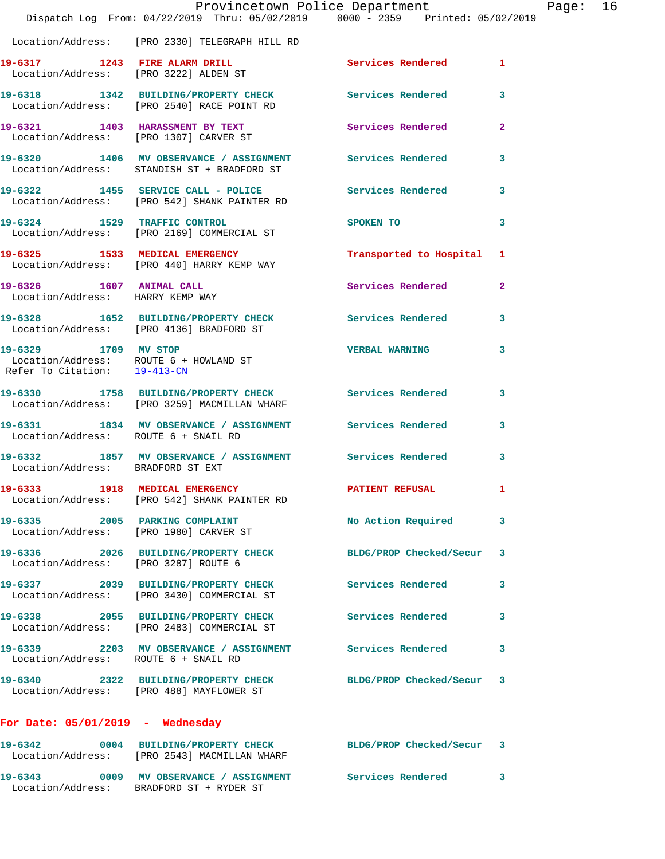|                                                              | Provincetown Police Department<br>Dispatch Log From: 04/22/2019 Thru: 05/02/2019 0000 - 2359 Printed: 05/02/2019 |                          |              |
|--------------------------------------------------------------|------------------------------------------------------------------------------------------------------------------|--------------------------|--------------|
|                                                              |                                                                                                                  |                          |              |
|                                                              | Location/Address: [PRO 2330] TELEGRAPH HILL RD                                                                   |                          |              |
| 19-6317 1243 FIRE ALARM DRILL                                | Location/Address: [PRO 3222] ALDEN ST                                                                            | Services Rendered        | 1            |
|                                                              | 19-6318 1342 BUILDING/PROPERTY CHECK Services Rendered<br>Location/Address: [PRO 2540] RACE POINT RD             |                          | 3            |
|                                                              | 19-6321 1403 HARASSMENT BY TEXT<br>Location/Address: [PRO 1307] CARVER ST                                        | <b>Services Rendered</b> | 2            |
|                                                              | 19-6320 1406 MV OBSERVANCE / ASSIGNMENT Services Rendered<br>Location/Address: STANDISH ST + BRADFORD ST         |                          | 3            |
|                                                              | 19-6322 1455 SERVICE CALL - POLICE<br>Location/Address: [PRO 542] SHANK PAINTER RD                               | Services Rendered        | 3            |
|                                                              | 19-6324 1529 TRAFFIC CONTROL<br>Location/Address: [PRO 2169] COMMERCIAL ST                                       | SPOKEN TO                | 3            |
|                                                              | 19-6325 1533 MEDICAL EMERGENCY<br>Location/Address: [PRO 440] HARRY KEMP WAY                                     | Transported to Hospital  | 1            |
| 19-6326 1607 ANIMAL CALL<br>Location/Address: HARRY KEMP WAY |                                                                                                                  | <b>Services Rendered</b> | $\mathbf{2}$ |
|                                                              | 19-6328 1652 BUILDING/PROPERTY CHECK Services Rendered<br>Location/Address: [PRO 4136] BRADFORD ST               |                          | 3            |
| 19-6329 1709 MV STOP                                         | Location/Address: ROUTE 6 + HOWLAND ST<br>Refer To Citation: $\frac{19-413-\text{CN}}{2}$                        | <b>VERBAL WARNING</b>    | 3            |
|                                                              | 19-6330 1758 BUILDING/PROPERTY CHECK Services Rendered<br>Location/Address: [PRO 3259] MACMILLAN WHARF           |                          | 3            |
| Location/Address: ROUTE 6 + SNAIL RD                         | 19-6331 1834 MV OBSERVANCE / ASSIGNMENT Services Rendered                                                        |                          | 3            |
| Location/Address: BRADFORD ST EXT                            |                                                                                                                  |                          | 3            |
|                                                              | 19-6333 1918 MEDICAL EMERGENCY<br>Location/Address: [PRO 542] SHANK PAINTER RD                                   | <b>PATIENT REFUSAL</b>   | 1            |
| 19-6335 2005 PARKING COMPLAINT                               | Location/Address: [PRO 1980] CARVER ST                                                                           | No Action Required       | 3            |
| Location/Address: [PRO 3287] ROUTE 6                         | 19-6336 2026 BUILDING/PROPERTY CHECK                                                                             | BLDG/PROP Checked/Secur  | 3            |
|                                                              | 19-6337 2039 BUILDING/PROPERTY CHECK Services Rendered<br>Location/Address: [PRO 3430] COMMERCIAL ST             |                          | 3            |
|                                                              | 19-6338 2055 BUILDING/PROPERTY CHECK<br>Location/Address: [PRO 2483] COMMERCIAL ST                               | <b>Services Rendered</b> | 3            |
| Location/Address: ROUTE 6 + SNAIL RD                         | 19-6339 		 2203 MV OBSERVANCE / ASSIGNMENT Services Rendered                                                     |                          | 3            |
|                                                              | 19-6340 2322 BUILDING/PROPERTY CHECK BLDG/PROP Checked/Secur<br>Location/Address: [PRO 488] MAYFLOWER ST         |                          | 3            |
| For Date: 05/01/2019 - Wednesday                             |                                                                                                                  |                          |              |
|                                                              | 19-6342 0004 BUILDING/PROPERTY CHECK BLDG/PROP Checked/Secur 3<br>Location/Address: [PRO 2543] MACMILLAN WHARF   |                          |              |

**19-6343 0009 MV OBSERVANCE / ASSIGNMENT Services Rendered 3** 

Location/Address: BRADFORD ST + RYDER ST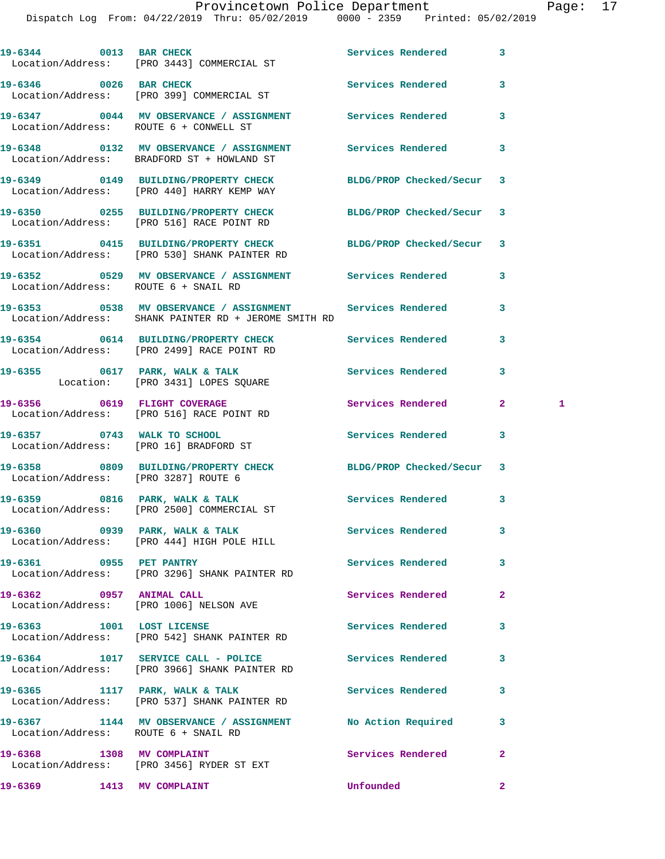|                                        | 19-6344 0013 BAR CHECK<br>Location/Address: [PRO 3443] COMMERCIAL ST                                           | Services Rendered        | 3                       |              |
|----------------------------------------|----------------------------------------------------------------------------------------------------------------|--------------------------|-------------------------|--------------|
|                                        | 19-6346 0026 BAR CHECK<br>Location/Address: [PRO 399] COMMERCIAL ST                                            | <b>Services Rendered</b> | 3                       |              |
| Location/Address: ROUTE 6 + CONWELL ST | 19-6347 0044 MV OBSERVANCE / ASSIGNMENT Services Rendered                                                      |                          | 3                       |              |
|                                        | 19-6348 6132 MV OBSERVANCE / ASSIGNMENT Services Rendered<br>Location/Address: BRADFORD ST + HOWLAND ST        |                          | 3                       |              |
|                                        | 19-6349 0149 BUILDING/PROPERTY CHECK BLDG/PROP Checked/Secur 3<br>Location/Address: [PRO 440] HARRY KEMP WAY   |                          |                         |              |
|                                        | 19-6350 0255 BUILDING/PROPERTY CHECK<br>Location/Address: [PRO 516] RACE POINT RD                              | BLDG/PROP Checked/Secur  | $\overline{\mathbf{3}}$ |              |
|                                        | 19-6351 0415 BUILDING/PROPERTY CHECK BLDG/PROP Checked/Secur 3<br>Location/Address: [PRO 530] SHANK PAINTER RD |                          |                         |              |
| Location/Address: ROUTE 6 + SNAIL RD   | 19-6352 		 0529 MV OBSERVANCE / ASSIGNMENT Services Rendered                                                   |                          | 3                       |              |
|                                        | Location/Address: SHANK PAINTER RD + JEROME SMITH RD                                                           |                          | 3                       |              |
|                                        | 19-6354 0614 BUILDING/PROPERTY CHECK Services Rendered<br>Location/Address: [PRO 2499] RACE POINT RD           |                          | 3                       |              |
|                                        | 19-6355 0617 PARK, WALK & TALK 2008 Services Rendered<br>Location: [PRO 3431] LOPES SQUARE                     |                          | 3                       |              |
|                                        | 19-6356 0619 FLIGHT COVERAGE<br>Location/Address: [PRO 516] RACE POINT RD                                      | Services Rendered        | 2 <sup>1</sup>          | $\mathbf{1}$ |
|                                        | 19-6357 0743 WALK TO SCHOOL<br>Location/Address: [PRO 16] BRADFORD ST                                          | <b>Services Rendered</b> | 3                       |              |
| Location/Address: [PRO 3287] ROUTE 6   | 19-6358 0809 BUILDING/PROPERTY CHECK BLDG/PROP Checked/Secur 3                                                 |                          |                         |              |
|                                        | 19-6359 0816 PARK, WALK & TALK Services Rendered<br>Location/Address: [PRO 2500] COMMERCIAL ST                 |                          | 3                       |              |
|                                        | 19-6360 0939 PARK, WALK & TALK<br>Location/Address: [PRO 444] HIGH POLE HILL                                   | <b>Services Rendered</b> | 3                       |              |
| 19-6361 0955 PET PANTRY                | Location/Address: [PRO 3296] SHANK PAINTER RD                                                                  | Services Rendered        | 3                       |              |
| 19-6362 0957 ANIMAL CALL               | Location/Address: [PRO 1006] NELSON AVE                                                                        | Services Rendered        | $\overline{a}$          |              |
| 19-6363 1001 LOST LICENSE              | Location/Address: [PRO 542] SHANK PAINTER RD                                                                   | Services Rendered        | 3                       |              |
|                                        | 19-6364 1017 SERVICE CALL - POLICE<br>Location/Address: [PRO 3966] SHANK PAINTER RD                            | <b>Services Rendered</b> | 3                       |              |
|                                        | 19-6365 1117 PARK, WALK & TALK<br>Location/Address: [PRO 537] SHANK PAINTER RD                                 | <b>Services Rendered</b> | 3                       |              |
| Location/Address: ROUTE 6 + SNAIL RD   | 19-6367 1144 MV OBSERVANCE / ASSIGNMENT No Action Required                                                     |                          | 3                       |              |
|                                        | 19-6368 1308 MV COMPLAINT<br>Location/Address: [PRO 3456] RYDER ST EXT                                         | Services Rendered        | $\overline{a}$          |              |
| 19-6369                                | 1413 MV COMPLAINT                                                                                              | Unfounded                | $\overline{2}$          |              |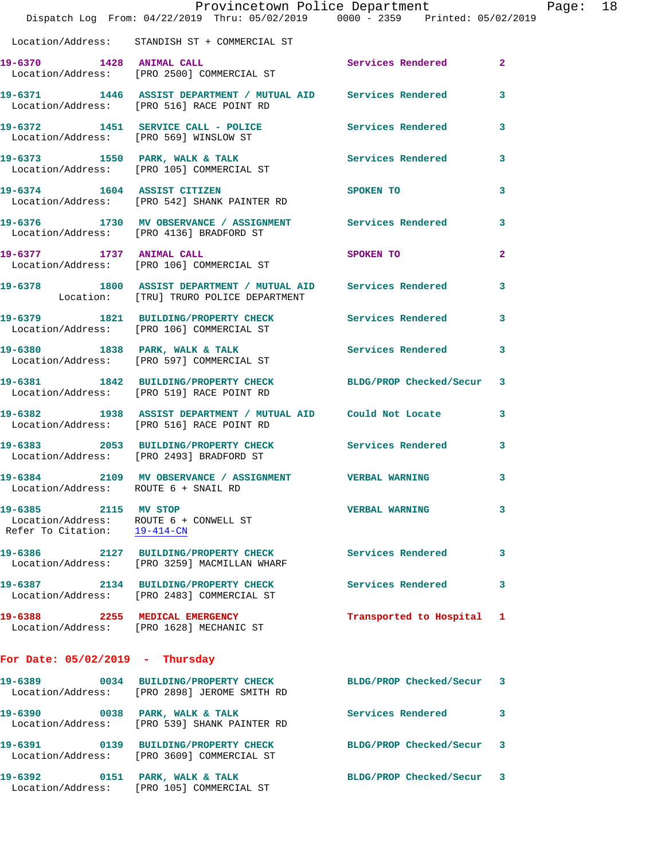|                                                      | Dispatch Log From: 04/22/2019 Thru: 05/02/2019 0000 - 2359 Printed: 05/02/2019                                 | Provincetown Police Department |                | Page: 18 |  |
|------------------------------------------------------|----------------------------------------------------------------------------------------------------------------|--------------------------------|----------------|----------|--|
|                                                      |                                                                                                                |                                |                |          |  |
|                                                      | Location/Address: STANDISH ST + COMMERCIAL ST                                                                  |                                |                |          |  |
|                                                      | 19-6370 1428 ANIMAL CALL 2 Services Rendered 2<br>Location/Address: [PRO 2500] COMMERCIAL ST                   |                                |                |          |  |
|                                                      | 19-6371 1446 ASSIST DEPARTMENT / MUTUAL AID Services Rendered 3<br>Location/Address: [PRO 516] RACE POINT RD   |                                |                |          |  |
|                                                      | 19-6372 1451 SERVICE CALL - POLICE Services Rendered 3<br>Location/Address: [PRO 569] WINSLOW ST               |                                |                |          |  |
|                                                      | 19-6373 1550 PARK, WALK & TALK 1999 Services Rendered 3<br>Location/Address: [PRO 105] COMMERCIAL ST           |                                |                |          |  |
|                                                      | 19-6374 1604 ASSIST CITIZEN<br>Location/Address: [PRO 542] SHANK PAINTER RD                                    | SPOKEN TO                      | 3              |          |  |
|                                                      | 19-6376 1730 MV OBSERVANCE / ASSIGNMENT Services Rendered 3<br>Location/Address: [PRO 4136] BRADFORD ST        |                                |                |          |  |
|                                                      | 19-6377 1737 ANIMAL CALL<br>Location/Address: [PRO 106] COMMERCIAL ST                                          | SPOKEN TO                      | $\overline{2}$ |          |  |
|                                                      | 19-6378 1800 ASSIST DEPARTMENT / MUTUAL AID Services Rendered 3<br>Location: [TRU] TRURO POLICE DEPARTMENT     |                                |                |          |  |
|                                                      | 19-6379 1821 BUILDING/PROPERTY CHECK Services Rendered 3<br>Location/Address: [PRO 106] COMMERCIAL ST          |                                |                |          |  |
|                                                      | 19-6380 1838 PARK, WALK & TALK 1998 Services Rendered 3<br>Location/Address: [PRO 597] COMMERCIAL ST           |                                |                |          |  |
|                                                      | 19-6381 1842 BUILDING/PROPERTY CHECK BLDG/PROP Checked/Secur 3<br>Location/Address: [PRO 519] RACE POINT RD    |                                |                |          |  |
|                                                      | 19-6382 1938 ASSIST DEPARTMENT / MUTUAL AID Could Not Locate 3<br>Location/Address: [PRO 516] RACE POINT RD    |                                |                |          |  |
|                                                      | 19-6383 2053 BUILDING/PROPERTY CHECK Services Rendered 3<br>Location/Address: [PRO 2493] BRADFORD ST           |                                |                |          |  |
|                                                      | 19-6384 2109 MV OBSERVANCE / ASSIGNMENT VERBAL WARNING 3<br>Location/Address: ROUTE 6 + SNAIL RD               |                                |                |          |  |
| 19-6385 2115 MV STOP<br>Refer To Citation: 19-414-CN | Location/Address: ROUTE 6 + CONWELL ST                                                                         | <b>VERBAL WARNING</b>          | 3              |          |  |
|                                                      | 19-6386 2127 BUILDING/PROPERTY CHECK Services Rendered<br>Location/Address: [PRO 3259] MACMILLAN WHARF         |                                | 3              |          |  |
|                                                      | 19-6387 2134 BUILDING/PROPERTY CHECK<br>Location/Address: [PRO 2483] COMMERCIAL ST                             | <b>Services Rendered</b>       | 3              |          |  |
|                                                      | 19-6388 2255 MEDICAL EMERGENCY<br>Location/Address: [PRO 1628] MECHANIC ST                                     | Transported to Hospital 1      |                |          |  |
| For Date: $05/02/2019$ - Thursday                    |                                                                                                                |                                |                |          |  |
|                                                      | 19-6389 0034 BUILDING/PROPERTY CHECK BLDG/PROP Checked/Secur 3<br>Location/Address: [PRO 2898] JEROME SMITH RD |                                |                |          |  |
|                                                      | 19-6390 0038 PARK, WALK & TALK<br>Location/Address: [PRO 539] SHANK PAINTER RD                                 | Services Rendered              | 3              |          |  |
|                                                      | 19-6391 0139 BUILDING/PROPERTY CHECK BLDG/PROP Checked/Secur 3<br>Location/Address: [PRO 3609] COMMERCIAL ST   |                                |                |          |  |
|                                                      | 19-6392 0151 PARK, WALK & TALK<br>Location/Address: [PRO 105] COMMERCIAL ST                                    | BLDG/PROP Checked/Secur 3      |                |          |  |
|                                                      |                                                                                                                |                                |                |          |  |